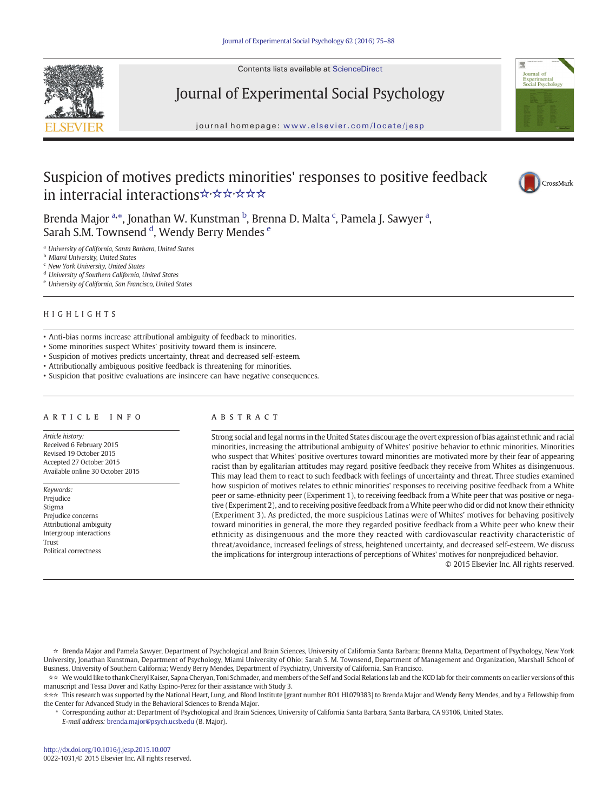

Contents lists available at ScienceDirect

# Journal of Experimental Social Psychology

journal homepage: <www.elsevier.com/locate/jesp>

# Suspicion of motives predicts minorities' responses to positive feedback in interracial interactions☆☆☆☆☆☆☆



 $C$ rossMark

Experimental<br>Social Psycholo

Brenda Major <sup>a,</sup>\*, Jonathan W. Kunstman <sup>b</sup>, Brenna D. Malta <sup>c</sup>, Pamela J. Sawyer <sup>a</sup>, Sarah S.M. Townsend <sup>d</sup>, Wendy Berry Mendes <sup>e</sup>

<sup>a</sup> University of California, Santa Barbara, United States

<sup>b</sup> Miami University, United States

<sup>c</sup> New York University, United States

<sup>d</sup> University of Southern California, United States

<sup>e</sup> University of California, San Francisco, United States

# HIGHLIGHTS

• Anti-bias norms increase attributional ambiguity of feedback to minorities.

• Some minorities suspect Whites' positivity toward them is insincere.

• Suspicion of motives predicts uncertainty, threat and decreased self-esteem.

• Attributionally ambiguous positive feedback is threatening for minorities.

• Suspicion that positive evaluations are insincere can have negative consequences.

## article info abstract

Article history: Received 6 February 2015 Revised 19 October 2015 Accepted 27 October 2015 Available online 30 October 2015

Keywords: Prejudice Stigma Prejudice concerns Attributional ambiguity Intergroup interactions Trust Political correctness

Strong social and legal norms in the United States discourage the overt expression of bias against ethnic and racial minorities, increasing the attributional ambiguity of Whites' positive behavior to ethnic minorities. Minorities who suspect that Whites' positive overtures toward minorities are motivated more by their fear of appearing racist than by egalitarian attitudes may regard positive feedback they receive from Whites as disingenuous. This may lead them to react to such feedback with feelings of uncertainty and threat. Three studies examined how suspicion of motives relates to ethnic minorities' responses to receiving positive feedback from a White peer or same-ethnicity peer (Experiment 1), to receiving feedback from a White peer that was positive or negative (Experiment 2), and to receiving positive feedback from a White peer who did or did not know their ethnicity (Experiment 3). As predicted, the more suspicious Latinas were of Whites' motives for behaving positively toward minorities in general, the more they regarded positive feedback from a White peer who knew their ethnicity as disingenuous and the more they reacted with cardiovascular reactivity characteristic of threat/avoidance, increased feelings of stress, heightened uncertainty, and decreased self-esteem. We discuss the implications for intergroup interactions of perceptions of Whites' motives for nonprejudiced behavior. © 2015 Elsevier Inc. All rights reserved.

☆ Brenda Major and Pamela Sawyer, Department of Psychological and Brain Sciences, University of California Santa Barbara; Brenna Malta, Department of Psychology, New York University, Jonathan Kunstman, Department of Psychology, Miami University of Ohio; Sarah S. M. Townsend, Department of Management and Organization, Marshall School of Business, University of Southern California; Wendy Berry Mendes, Department of Psychiatry, University of California, San Francisco.

☆☆ We would like to thank Cheryl Kaiser, Sapna Cheryan, Toni Schmader, and members of the Self and Social Relations lab and the KCO lab for their comments on earlier versions of this manuscript and Tessa Dover and Kathy Espino-Perez for their assistance with Study 3.

☆☆☆ This research was supported by the National Heart, Lung, and Blood Institute [grant number RO1 HL079383] to Brenda Major and Wendy Berry Mendes, and by a Fellowship from the Center for Advanced Study in the Behavioral Sciences to Brenda Major.

⁎ Corresponding author at: Department of Psychological and Brain Sciences, University of California Santa Barbara, Santa Barbara, CA 93106, United States.

E-mail address: [brenda.major@psych.ucsb.edu](mailto:brenda.major@psych.ucsb.edu) (B. Major).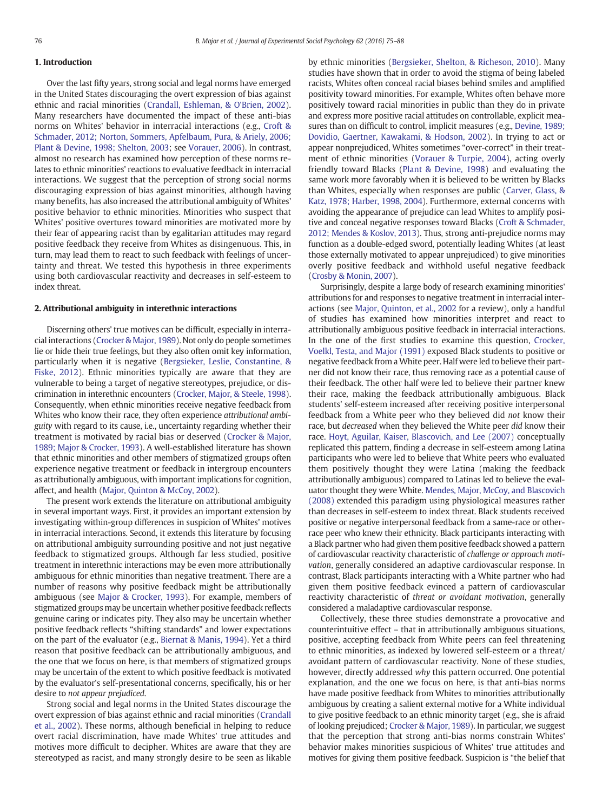# 1. Introduction

Over the last fifty years, strong social and legal norms have emerged in the United States discouraging the overt expression of bias against ethnic and racial minorities [\(Crandall, Eshleman, & O'Brien, 2002](#page-11-0)). Many researchers have documented the impact of these anti-bias norms on Whites' behavior in interracial interactions (e.g., [Croft &](#page-12-0) [Schmader, 2012; Norton, Sommers, Apfelbaum, Pura, & Ariely, 2006;](#page-12-0) [Plant & Devine, 1998; Shelton, 2003](#page-12-0); see [Vorauer, 2006](#page-13-0)). In contrast, almost no research has examined how perception of these norms relates to ethnic minorities' reactions to evaluative feedback in interracial interactions. We suggest that the perception of strong social norms discouraging expression of bias against minorities, although having many benefits, has also increased the attributional ambiguity of Whites' positive behavior to ethnic minorities. Minorities who suspect that Whites' positive overtures toward minorities are motivated more by their fear of appearing racist than by egalitarian attitudes may regard positive feedback they receive from Whites as disingenuous. This, in turn, may lead them to react to such feedback with feelings of uncertainty and threat. We tested this hypothesis in three experiments using both cardiovascular reactivity and decreases in self-esteem to index threat.

#### 2. Attributional ambiguity in interethnic interactions

Discerning others' true motives can be difficult, especially in interracial interactions [\(Crocker & Major, 1989](#page-11-0)). Not only do people sometimes lie or hide their true feelings, but they also often omit key information, particularly when it is negative [\(Bergsieker, Leslie, Constantine, &](#page-11-0) [Fiske, 2012\)](#page-11-0). Ethnic minorities typically are aware that they are vulnerable to being a target of negative stereotypes, prejudice, or discrimination in interethnic encounters ([Crocker, Major, & Steele, 1998\)](#page-11-0). Consequently, when ethnic minorities receive negative feedback from Whites who know their race, they often experience attributional ambiguity with regard to its cause, i.e., uncertainty regarding whether their treatment is motivated by racial bias or deserved [\(Crocker & Major,](#page-11-0) [1989; Major & Crocker, 1993](#page-11-0)). A well-established literature has shown that ethnic minorities and other members of stigmatized groups often experience negative treatment or feedback in intergroup encounters as attributionally ambiguous, with important implications for cognition, affect, and health [\(Major, Quinton & McCoy, 2002\)](#page-12-0).

The present work extends the literature on attributional ambiguity in several important ways. First, it provides an important extension by investigating within-group differences in suspicion of Whites' motives in interracial interactions. Second, it extends this literature by focusing on attributional ambiguity surrounding positive and not just negative feedback to stigmatized groups. Although far less studied, positive treatment in interethnic interactions may be even more attributionally ambiguous for ethnic minorities than negative treatment. There are a number of reasons why positive feedback might be attributionally ambiguous (see [Major & Crocker, 1993\)](#page-12-0). For example, members of stigmatized groups may be uncertain whether positive feedback reflects genuine caring or indicates pity. They also may be uncertain whether positive feedback reflects "shifting standards" and lower expectations on the part of the evaluator (e.g., [Biernat & Manis, 1994](#page-11-0)). Yet a third reason that positive feedback can be attributionally ambiguous, and the one that we focus on here, is that members of stigmatized groups may be uncertain of the extent to which positive feedback is motivated by the evaluator's self-presentational concerns, specifically, his or her desire to not appear prejudiced.

Strong social and legal norms in the United States discourage the overt expression of bias against ethnic and racial minorities ([Crandall](#page-11-0) [et al., 2002](#page-11-0)). These norms, although beneficial in helping to reduce overt racial discrimination, have made Whites' true attitudes and motives more difficult to decipher. Whites are aware that they are stereotyped as racist, and many strongly desire to be seen as likable by ethnic minorities [\(Bergsieker, Shelton, & Richeson, 2010\)](#page-11-0). Many studies have shown that in order to avoid the stigma of being labeled racists, Whites often conceal racial biases behind smiles and amplified positivity toward minorities. For example, Whites often behave more positively toward racial minorities in public than they do in private and express more positive racial attitudes on controllable, explicit measures than on difficult to control, implicit measures (e.g., [Devine, 1989;](#page-12-0) [Dovidio, Gaertner, Kawakami, & Hodson, 2002](#page-12-0)). In trying to act or appear nonprejudiced, Whites sometimes "over-correct" in their treatment of ethnic minorities ([Vorauer & Turpie, 2004](#page-13-0)), acting overly friendly toward Blacks [\(Plant & Devine, 1998\)](#page-12-0) and evaluating the same work more favorably when it is believed to be written by Blacks than Whites, especially when responses are public [\(Carver, Glass, &](#page-11-0) [Katz, 1978; Harber, 1998, 2004](#page-11-0)). Furthermore, external concerns with avoiding the appearance of prejudice can lead Whites to amplify positive and conceal negative responses toward Blacks [\(Croft & Schmader,](#page-12-0) [2012; Mendes & Koslov, 2013](#page-12-0)). Thus, strong anti-prejudice norms may function as a double-edged sword, potentially leading Whites (at least those externally motivated to appear unprejudiced) to give minorities overly positive feedback and withhold useful negative feedback [\(Crosby & Monin, 2007\)](#page-12-0).

Surprisingly, despite a large body of research examining minorities' attributions for and responses to negative treatment in interracial interactions (see [Major, Quinton, et al., 2002](#page-12-0) for a review), only a handful of studies has examined how minorities interpret and react to attributionally ambiguous positive feedback in interracial interactions. In the one of the first studies to examine this question, [Crocker,](#page-12-0) [Voelkl, Testa, and Major \(1991\)](#page-12-0) exposed Black students to positive or negative feedback from a White peer. Half were led to believe their partner did not know their race, thus removing race as a potential cause of their feedback. The other half were led to believe their partner knew their race, making the feedback attributionally ambiguous. Black students' self-esteem increased after receiving positive interpersonal feedback from a White peer who they believed did not know their race, but decreased when they believed the White peer did know their race. [Hoyt, Aguilar, Kaiser, Blascovich, and Lee \(2007\)](#page-12-0) conceptually replicated this pattern, finding a decrease in self-esteem among Latina participants who were led to believe that White peers who evaluated them positively thought they were Latina (making the feedback attributionally ambiguous) compared to Latinas led to believe the evaluator thought they were White. [Mendes, Major, McCoy, and Blascovich](#page-12-0) [\(2008\)](#page-12-0) extended this paradigm using physiological measures rather than decreases in self-esteem to index threat. Black students received positive or negative interpersonal feedback from a same-race or otherrace peer who knew their ethnicity. Black participants interacting with a Black partner who had given them positive feedback showed a pattern of cardiovascular reactivity characteristic of challenge or approach motivation, generally considered an adaptive cardiovascular response. In contrast, Black participants interacting with a White partner who had given them positive feedback evinced a pattern of cardiovascular reactivity characteristic of threat or avoidant motivation, generally considered a maladaptive cardiovascular response.

Collectively, these three studies demonstrate a provocative and counterintuitive effect – that in attributionally ambiguous situations, positive, accepting feedback from White peers can feel threatening to ethnic minorities, as indexed by lowered self-esteem or a threat/ avoidant pattern of cardiovascular reactivity. None of these studies, however, directly addressed why this pattern occurred. One potential explanation, and the one we focus on here, is that anti-bias norms have made positive feedback from Whites to minorities attributionally ambiguous by creating a salient external motive for a White individual to give positive feedback to an ethnic minority target (e.g., she is afraid of looking prejudiced; [Crocker & Major, 1989\)](#page-11-0). In particular, we suggest that the perception that strong anti-bias norms constrain Whites' behavior makes minorities suspicious of Whites' true attitudes and motives for giving them positive feedback. Suspicion is "the belief that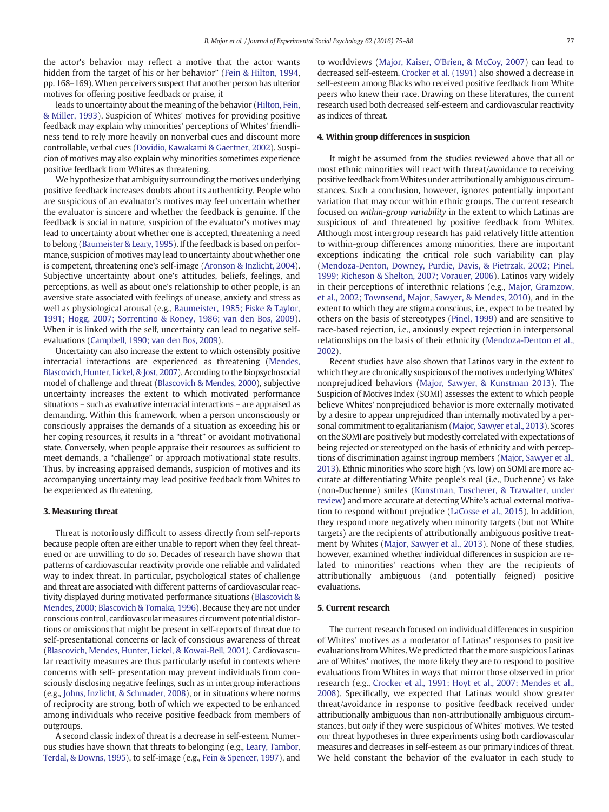the actor's behavior may reflect a motive that the actor wants hidden from the target of his or her behavior" ([Fein & Hilton, 1994,](#page-12-0) pp. 168–169). When perceivers suspect that another person has ulterior motives for offering positive feedback or praise, it

leads to uncertainty about the meaning of the behavior [\(Hilton, Fein,](#page-12-0) [& Miller, 1993](#page-12-0)). Suspicion of Whites' motives for providing positive feedback may explain why minorities' perceptions of Whites' friendliness tend to rely more heavily on nonverbal cues and discount more controllable, verbal cues ([Dovidio, Kawakami & Gaertner, 2002](#page-12-0)). Suspicion of motives may also explain why minorities sometimes experience positive feedback from Whites as threatening.

We hypothesize that ambiguity surrounding the motives underlying positive feedback increases doubts about its authenticity. People who are suspicious of an evaluator's motives may feel uncertain whether the evaluator is sincere and whether the feedback is genuine. If the feedback is social in nature, suspicion of the evaluator's motives may lead to uncertainty about whether one is accepted, threatening a need to belong [\(Baumeister & Leary, 1995](#page-11-0)). If the feedback is based on performance, suspicion of motives may lead to uncertainty about whether one is competent, threatening one's self-image [\(Aronson & Inzlicht, 2004](#page-11-0)). Subjective uncertainty about one's attitudes, beliefs, feelings, and perceptions, as well as about one's relationship to other people, is an aversive state associated with feelings of unease, anxiety and stress as well as physiological arousal (e.g., [Baumeister, 1985; Fiske & Taylor,](#page-11-0) [1991; Hogg, 2007; Sorrentino & Roney, 1986; van den Bos, 2009](#page-11-0)). When it is linked with the self, uncertainty can lead to negative selfevaluations ([Campbell, 1990; van den Bos, 2009\)](#page-11-0).

Uncertainty can also increase the extent to which ostensibly positive interracial interactions are experienced as threatening [\(Mendes,](#page-12-0) [Blascovich, Hunter, Lickel, & Jost, 2007\)](#page-12-0). According to the biopsychosocial model of challenge and threat [\(Blascovich & Mendes, 2000\)](#page-11-0), subjective uncertainty increases the extent to which motivated performance situations – such as evaluative interracial interactions – are appraised as demanding. Within this framework, when a person unconsciously or consciously appraises the demands of a situation as exceeding his or her coping resources, it results in a "threat" or avoidant motivational state. Conversely, when people appraise their resources as sufficient to meet demands, a "challenge" or approach motivational state results. Thus, by increasing appraised demands, suspicion of motives and its accompanying uncertainty may lead positive feedback from Whites to be experienced as threatening.

## 3. Measuring threat

Threat is notoriously difficult to assess directly from self-reports because people often are either unable to report when they feel threatened or are unwilling to do so. Decades of research have shown that patterns of cardiovascular reactivity provide one reliable and validated way to index threat. In particular, psychological states of challenge and threat are associated with different patterns of cardiovascular reactivity displayed during motivated performance situations [\(Blascovich &](#page-11-0) [Mendes, 2000; Blascovich & Tomaka, 1996](#page-11-0)). Because they are not under conscious control, cardiovascular measures circumvent potential distortions or omissions that might be present in self-reports of threat due to self-presentational concerns or lack of conscious awareness of threat [\(Blascovich, Mendes, Hunter, Lickel, & Kowai-Bell, 2001](#page-11-0)). Cardiovascular reactivity measures are thus particularly useful in contexts where concerns with self- presentation may prevent individuals from consciously disclosing negative feelings, such as in intergroup interactions (e.g., [Johns, Inzlicht, & Schmader, 2008\)](#page-12-0), or in situations where norms of reciprocity are strong, both of which we expected to be enhanced among individuals who receive positive feedback from members of outgroups.

A second classic index of threat is a decrease in self-esteem. Numerous studies have shown that threats to belonging (e.g., [Leary, Tambor,](#page-12-0) [Terdal, & Downs, 1995\)](#page-12-0), to self-image (e.g., [Fein & Spencer, 1997\)](#page-12-0), and to worldviews ([Major, Kaiser, O'Brien, & McCoy, 2007](#page-12-0)) can lead to decreased self-esteem. [Crocker et al. \(1991\)](#page-12-0) also showed a decrease in self-esteem among Blacks who received positive feedback from White peers who knew their race. Drawing on these literatures, the current research used both decreased self-esteem and cardiovascular reactivity as indices of threat.

# 4. Within group differences in suspicion

It might be assumed from the studies reviewed above that all or most ethnic minorities will react with threat/avoidance to receiving positive feedback from Whites under attributionally ambiguous circumstances. Such a conclusion, however, ignores potentially important variation that may occur within ethnic groups. The current research focused on within-group variability in the extent to which Latinas are suspicious of and threatened by positive feedback from Whites. Although most intergroup research has paid relatively little attention to within-group differences among minorities, there are important exceptions indicating the critical role such variability can play [\(Mendoza-Denton, Downey, Purdie, Davis, & Pietrzak, 2002; Pinel,](#page-12-0) [1999; Richeson & Shelton, 2007; Vorauer, 2006\)](#page-12-0). Latinos vary widely in their perceptions of interethnic relations (e.g., [Major, Gramzow,](#page-12-0) [et al., 2002; Townsend, Major, Sawyer, & Mendes, 2010\)](#page-12-0), and in the extent to which they are stigma conscious, i.e., expect to be treated by others on the basis of stereotypes ([Pinel, 1999\)](#page-12-0) and are sensitive to race-based rejection, i.e., anxiously expect rejection in interpersonal relationships on the basis of their ethnicity [\(Mendoza-Denton et al.,](#page-12-0) [2002](#page-12-0)).

Recent studies have also shown that Latinos vary in the extent to which they are chronically suspicious of the motives underlyingWhites' nonprejudiced behaviors ([Major, Sawyer, & Kunstman 2013](#page-12-0)). The Suspicion of Motives Index (SOMI) assesses the extent to which people believe Whites' nonprejudiced behavior is more externally motivated by a desire to appear unprejudiced than internally motivated by a personal commitment to egalitarianism ([Major, Sawyer et al., 2013](#page-12-0)). Scores on the SOMI are positively but modestly correlated with expectations of being rejected or stereotyped on the basis of ethnicity and with perceptions of discrimination against ingroup members [\(Major, Sawyer et al.,](#page-12-0) [2013](#page-12-0)). Ethnic minorities who score high (vs. low) on SOMI are more accurate at differentiating White people's real (i.e., Duchenne) vs fake (non-Duchenne) smiles ([Kunstman, Tuscherer, & Trawalter, under](#page-12-0) [review\)](#page-12-0) and more accurate at detecting White's actual external motivation to respond without prejudice ([LaCosse et al., 2015\)](#page-12-0). In addition, they respond more negatively when minority targets (but not White targets) are the recipients of attributionally ambiguous positive treatment by Whites ([Major, Sawyer et al., 2013](#page-12-0)). None of these studies, however, examined whether individual differences in suspicion are related to minorities' reactions when they are the recipients of attributionally ambiguous (and potentially feigned) positive evaluations.

# 5. Current research

The current research focused on individual differences in suspicion of Whites' motives as a moderator of Latinas' responses to positive evaluations from Whites. We predicted that the more suspicious Latinas are of Whites' motives, the more likely they are to respond to positive evaluations from Whites in ways that mirror those observed in prior research (e.g., [Crocker et al., 1991; Hoyt et al., 2007; Mendes et al.,](#page-12-0) [2008\)](#page-12-0). Specifically, we expected that Latinas would show greater threat/avoidance in response to positive feedback received under attributionally ambiguous than non-attributionally ambiguous circumstances, but only if they were suspicious of Whites' motives. We tested our threat hypotheses in three experiments using both cardiovascular measures and decreases in self-esteem as our primary indices of threat. We held constant the behavior of the evaluator in each study to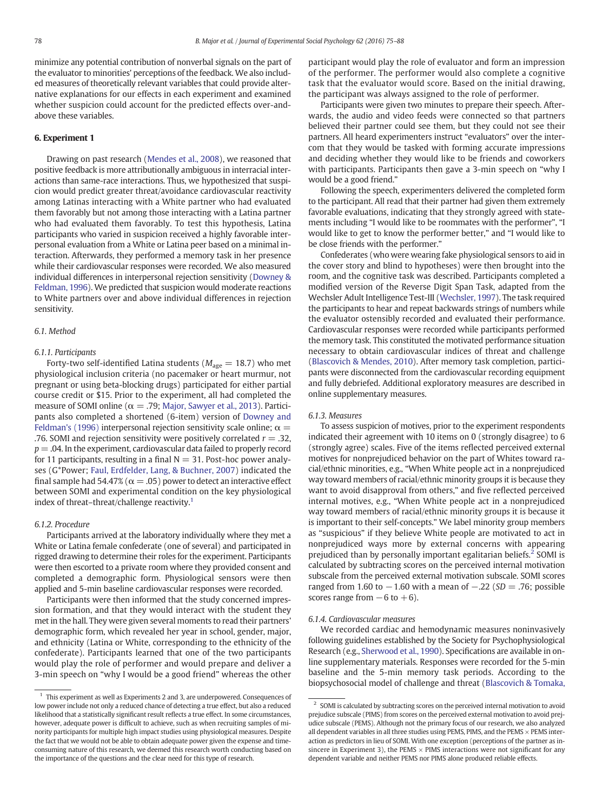minimize any potential contribution of nonverbal signals on the part of the evaluator to minorities' perceptions of the feedback. We also included measures of theoretically relevant variables that could provide alternative explanations for our effects in each experiment and examined whether suspicion could account for the predicted effects over-andabove these variables.

# 6. Experiment 1

Drawing on past research [\(Mendes et al., 2008](#page-12-0)), we reasoned that positive feedback is more attributionally ambiguous in interracial interactions than same-race interactions. Thus, we hypothesized that suspicion would predict greater threat/avoidance cardiovascular reactivity among Latinas interacting with a White partner who had evaluated them favorably but not among those interacting with a Latina partner who had evaluated them favorably. To test this hypothesis, Latina participants who varied in suspicion received a highly favorable interpersonal evaluation from a White or Latina peer based on a minimal interaction. Afterwards, they performed a memory task in her presence while their cardiovascular responses were recorded. We also measured individual differences in interpersonal rejection sensitivity [\(Downey &](#page-12-0) [Feldman, 1996\)](#page-12-0). We predicted that suspicion would moderate reactions to White partners over and above individual differences in rejection sensitivity.

# 6.1. Method

#### 6.1.1. Participants

Forty-two self-identified Latina students ( $M_{\text{age}} = 18.7$ ) who met physiological inclusion criteria (no pacemaker or heart murmur, not pregnant or using beta-blocking drugs) participated for either partial course credit or \$15. Prior to the experiment, all had completed the measure of SOMI online ( $\alpha = .79$ ; [Major, Sawyer et al., 2013\)](#page-12-0). Participants also completed a shortened (6-item) version of [Downey and](#page-12-0) [Feldman's \(1996\)](#page-12-0) interpersonal rejection sensitivity scale online;  $\alpha =$ .76. SOMI and rejection sensitivity were positively correlated  $r = 0.32$ ,  $p = .04$ . In the experiment, cardiovascular data failed to properly record for 11 participants, resulting in a final  $N = 31$ . Post-hoc power analyses (G\*Power; [Faul, Erdfelder, Lang, & Buchner, 2007](#page-12-0)) indicated the final sample had 54.47% ( $\alpha = .05$ ) power to detect an interactive effect between SOMI and experimental condition on the key physiological index of threat–threat/challenge reactivity. $<sup>1</sup>$ </sup>

# 6.1.2. Procedure

Participants arrived at the laboratory individually where they met a White or Latina female confederate (one of several) and participated in rigged drawing to determine their roles for the experiment. Participants were then escorted to a private room where they provided consent and completed a demographic form. Physiological sensors were then applied and 5-min baseline cardiovascular responses were recorded.

Participants were then informed that the study concerned impression formation, and that they would interact with the student they met in the hall. They were given several moments to read their partners' demographic form, which revealed her year in school, gender, major, and ethnicity (Latina or White, corresponding to the ethnicity of the confederate). Participants learned that one of the two participants would play the role of performer and would prepare and deliver a 3-min speech on "why I would be a good friend" whereas the other participant would play the role of evaluator and form an impression of the performer. The performer would also complete a cognitive task that the evaluator would score. Based on the initial drawing, the participant was always assigned to the role of performer.

Participants were given two minutes to prepare their speech. Afterwards, the audio and video feeds were connected so that partners believed their partner could see them, but they could not see their partners. All heard experimenters instruct "evaluators" over the intercom that they would be tasked with forming accurate impressions and deciding whether they would like to be friends and coworkers with participants. Participants then gave a 3-min speech on "why I would be a good friend."

Following the speech, experimenters delivered the completed form to the participant. All read that their partner had given them extremely favorable evaluations, indicating that they strongly agreed with statements including "I would like to be roommates with the performer", "I would like to get to know the performer better," and "I would like to be close friends with the performer."

Confederates (who were wearing fake physiological sensors to aid in the cover story and blind to hypotheses) were then brought into the room, and the cognitive task was described. Participants completed a modified version of the Reverse Digit Span Task, adapted from the Wechsler Adult Intelligence Test-III [\(Wechsler, 1997\)](#page-13-0). The task required the participants to hear and repeat backwards strings of numbers while the evaluator ostensibly recorded and evaluated their performance. Cardiovascular responses were recorded while participants performed the memory task. This constituted the motivated performance situation necessary to obtain cardiovascular indices of threat and challenge [\(Blascovich & Mendes, 2010\)](#page-11-0). After memory task completion, participants were disconnected from the cardiovascular recording equipment and fully debriefed. Additional exploratory measures are described in online supplementary measures.

#### 6.1.3. Measures

To assess suspicion of motives, prior to the experiment respondents indicated their agreement with 10 items on 0 (strongly disagree) to 6 (strongly agree) scales. Five of the items reflected perceived external motives for nonprejudiced behavior on the part of Whites toward racial/ethnic minorities, e.g., "When White people act in a nonprejudiced way toward members of racial/ethnic minority groups it is because they want to avoid disapproval from others," and five reflected perceived internal motives, e.g., "When White people act in a nonprejudiced way toward members of racial/ethnic minority groups it is because it is important to their self-concepts." We label minority group members as "suspicious" if they believe White people are motivated to act in nonprejudiced ways more by external concerns with appearing prejudiced than by personally important egalitarian beliefs.<sup>2</sup> SOMI is calculated by subtracting scores on the perceived internal motivation subscale from the perceived external motivation subscale. SOMI scores ranged from 1.60 to  $-1.60$  with a mean of  $-.22$  (SD = .76; possible scores range from  $-6$  to  $+6$ ).

#### 6.1.4. Cardiovascular measures

We recorded cardiac and hemodynamic measures noninvasively following guidelines established by the Society for Psychophysiological Research (e.g., [Sherwood et al., 1990](#page-12-0)). Specifications are available in online supplementary materials. Responses were recorded for the 5-min baseline and the 5-min memory task periods. According to the biopsychosocial model of challenge and threat ([Blascovich & Tomaka,](#page-11-0)

 $^{\rm 1}$  This experiment as well as Experiments 2 and 3, are underpowered. Consequences of low power include not only a reduced chance of detecting a true effect, but also a reduced likelihood that a statistically significant result reflects a true effect. In some circumstances, however, adequate power is difficult to achieve, such as when recruiting samples of minority participants for multiple high impact studies using physiological measures. Despite the fact that we would not be able to obtain adequate power given the expense and timeconsuming nature of this research, we deemed this research worth conducting based on the importance of the questions and the clear need for this type of research.

 $^{\rm 2} \,$  SOMI is calculated by subtracting scores on the perceived internal motivation to avoid prejudice subscale (PIMS) from scores on the perceived external motivation to avoid prejudice subscale (PEMS). Although not the primary focus of our research, we also analyzed all dependent variables in all three studies using PEMS, PIMS, and the PEMS  $\times$  PEMS interaction as predictors in lieu of SOMI. With one exception (perceptions of the partner as insincere in Experiment 3), the PEMS  $\times$  PIMS interactions were not significant for any dependent variable and neither PEMS nor PIMS alone produced reliable effects.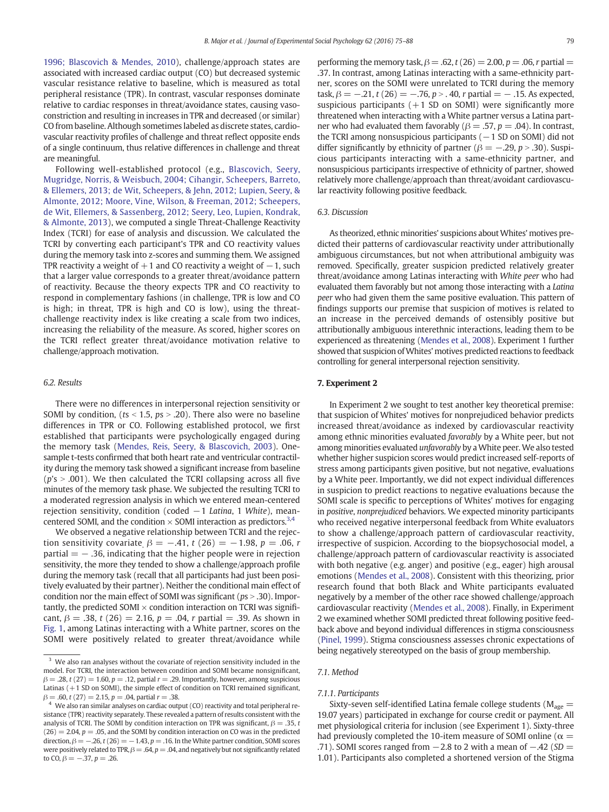[1996; Blascovich & Mendes, 2010\)](#page-11-0), challenge/approach states are associated with increased cardiac output (CO) but decreased systemic vascular resistance relative to baseline, which is measured as total peripheral resistance (TPR). In contrast, vascular responses dominate relative to cardiac responses in threat/avoidance states, causing vasoconstriction and resulting in increases in TPR and decreased (or similar) CO from baseline. Although sometimes labeled as discrete states, cardiovascular reactivity profiles of challenge and threat reflect opposite ends of a single continuum, thus relative differences in challenge and threat are meaningful.

Following well-established protocol (e.g., [Blascovich, Seery,](#page-11-0) [Mugridge, Norris, & Weisbuch, 2004; Cihangir, Scheepers, Barreto,](#page-11-0) [& Ellemers, 2013; de Wit, Scheepers, & Jehn, 2012; Lupien, Seery, &](#page-11-0) [Almonte, 2012; Moore, Vine, Wilson, & Freeman, 2012; Scheepers,](#page-11-0) [de Wit, Ellemers, & Sassenberg, 2012; Seery, Leo, Lupien, Kondrak,](#page-11-0) [& Almonte, 2013](#page-11-0)), we computed a single Threat-Challenge Reactivity Index (TCRI) for ease of analysis and discussion. We calculated the TCRI by converting each participant's TPR and CO reactivity values during the memory task into z-scores and summing them. We assigned TPR reactivity a weight of  $+1$  and CO reactivity a weight of  $-1$ , such that a larger value corresponds to a greater threat/avoidance pattern of reactivity. Because the theory expects TPR and CO reactivity to respond in complementary fashions (in challenge, TPR is low and CO is high; in threat, TPR is high and CO is low), using the threatchallenge reactivity index is like creating a scale from two indices, increasing the reliability of the measure. As scored, higher scores on the TCRI reflect greater threat/avoidance motivation relative to challenge/approach motivation.

## 6.2. Results

There were no differences in interpersonal rejection sensitivity or SOMI by condition, ( $ts < 1.5$ ,  $ps > .20$ ). There also were no baseline differences in TPR or CO. Following established protocol, we first established that participants were psychologically engaged during the memory task ([Mendes, Reis, Seery, & Blascovich, 2003\)](#page-12-0). Onesample t-tests confirmed that both heart rate and ventricular contractility during the memory task showed a significant increase from baseline ( $p's > .001$ ). We then calculated the TCRI collapsing across all five minutes of the memory task phase. We subjected the resulting TCRI to a moderated regression analysis in which we entered mean-centered rejection sensitivity, condition (coded −1 Latina, 1 White), meancentered SOMI, and the condition  $\times$  SOMI interaction as predictors.<sup>3,4</sup>

We observed a negative relationship between TCRI and the rejection sensitivity covariate,  $\beta = -.41$ , t (26) = -1.98, p = .06, r  $partial = -36$ , indicating that the higher people were in rejection sensitivity, the more they tended to show a challenge/approach profile during the memory task (recall that all participants had just been positively evaluated by their partner). Neither the conditional main effect of condition nor the main effect of SOMI was significant ( $ps > .30$ ). Importantly, the predicted SOMI  $\times$  condition interaction on TCRI was significant,  $\beta = .38$ , t (26) = 2.16, p = .04, r partial = .39. As shown in [Fig. 1,](#page-5-0) among Latinas interacting with a White partner, scores on the SOMI were positively related to greater threat/avoidance while performing the memory task,  $\beta = .62$ , t (26) = 2.00, p = .06, r partial = .37. In contrast, among Latinas interacting with a same-ethnicity partner, scores on the SOMI were unrelated to TCRI during the memory task,  $\beta = -0.21$ , t (26) =  $-0.76$ , p > . 40, r partial =  $-0.15$ . As expected, suspicious participants  $(+1$  SD on SOMI) were significantly more threatened when interacting with a White partner versus a Latina partner who had evaluated them favorably ( $\beta = .57$ ,  $p = .04$ ). In contrast, the TCRI among nonsuspicious participants  $(-1$  SD on SOMI) did not differ significantly by ethnicity of partner ( $\beta = -.29, p > .30$ ). Suspicious participants interacting with a same-ethnicity partner, and nonsuspicious participants irrespective of ethnicity of partner, showed

#### 6.3. Discussion

lar reactivity following positive feedback.

As theorized, ethnic minorities' suspicions about Whites' motives predicted their patterns of cardiovascular reactivity under attributionally ambiguous circumstances, but not when attributional ambiguity was removed. Specifically, greater suspicion predicted relatively greater threat/avoidance among Latinas interacting with White peer who had evaluated them favorably but not among those interacting with a Latina peer who had given them the same positive evaluation. This pattern of findings supports our premise that suspicion of motives is related to an increase in the perceived demands of ostensibly positive but attributionally ambiguous interethnic interactions, leading them to be experienced as threatening ([Mendes et al., 2008\)](#page-12-0). Experiment 1 further showed that suspicion ofWhites' motives predicted reactions to feedback controlling for general interpersonal rejection sensitivity.

relatively more challenge/approach than threat/avoidant cardiovascu-

# 7. Experiment 2

In Experiment 2 we sought to test another key theoretical premise: that suspicion of Whites' motives for nonprejudiced behavior predicts increased threat/avoidance as indexed by cardiovascular reactivity among ethnic minorities evaluated favorably by a White peer, but not among minorities evaluated unfavorably by a White peer. We also tested whether higher suspicion scores would predict increased self-reports of stress among participants given positive, but not negative, evaluations by a White peer. Importantly, we did not expect individual differences in suspicion to predict reactions to negative evaluations because the SOMI scale is specific to perceptions of Whites' motives for engaging in positive, nonprejudiced behaviors. We expected minority participants who received negative interpersonal feedback from White evaluators to show a challenge/approach pattern of cardiovascular reactivity, irrespective of suspicion. According to the biopsychosocial model, a challenge/approach pattern of cardiovascular reactivity is associated with both negative (e.g. anger) and positive (e.g., eager) high arousal emotions ([Mendes et al., 2008](#page-12-0)). Consistent with this theorizing, prior research found that both Black and White participants evaluated negatively by a member of the other race showed challenge/approach cardiovascular reactivity ([Mendes et al., 2008\)](#page-12-0). Finally, in Experiment 2 we examined whether SOMI predicted threat following positive feedback above and beyond individual differences in stigma consciousness [\(Pinel, 1999\)](#page-12-0). Stigma consciousness assesses chronic expectations of being negatively stereotyped on the basis of group membership.

## 7.1. Method

#### 7.1.1. Participants

Sixty-seven self-identified Latina female college students ( $M_{\text{age}} =$ 19.07 years) participated in exchange for course credit or payment. All met physiological criteria for inclusion (see Experiment 1). Sixty-three had previously completed the 10-item measure of SOMI online ( $\alpha =$ .71). SOMI scores ranged from  $-2.8$  to 2 with a mean of  $-.42$  (SD = 1.01). Participants also completed a shortened version of the Stigma

<sup>&</sup>lt;sup>3</sup> We also ran analyses without the covariate of rejection sensitivity included in the model. For TCRI, the interaction between condition and SOMI became nonsignificant,  $\beta = .28$ , t (27) = 1.60, p = .12, partial r = .29. Importantly, however, among suspicious Latinas (+1 SD on SOMI), the simple effect of condition on TCRI remained significant,  $\beta = .60$ , t (27) = 2.15, p = .04, partial r = .38.

<sup>&</sup>lt;sup>4</sup> We also ran similar analyses on cardiac output (CO) reactivity and total peripheral resistance (TPR) reactivity separately. These revealed a pattern of results consistent with the analysis of TCRI. The SOMI by condition interaction on TPR was significant,  $\beta = 0.35$ , t  $(26) = 2.04$ ,  $p = .05$ , and the SOMI by condition interaction on CO was in the predicted direction,  $\beta = -.26$ ,  $t(26) = -1.43$ ,  $p = .16$ . In the White partner condition, SOMI scores were positively related to TPR,  $\beta = .64$ ,  $p = .04$ , and negatively but not significantly related to CO,  $\beta = -.37$ ,  $p = .26$ .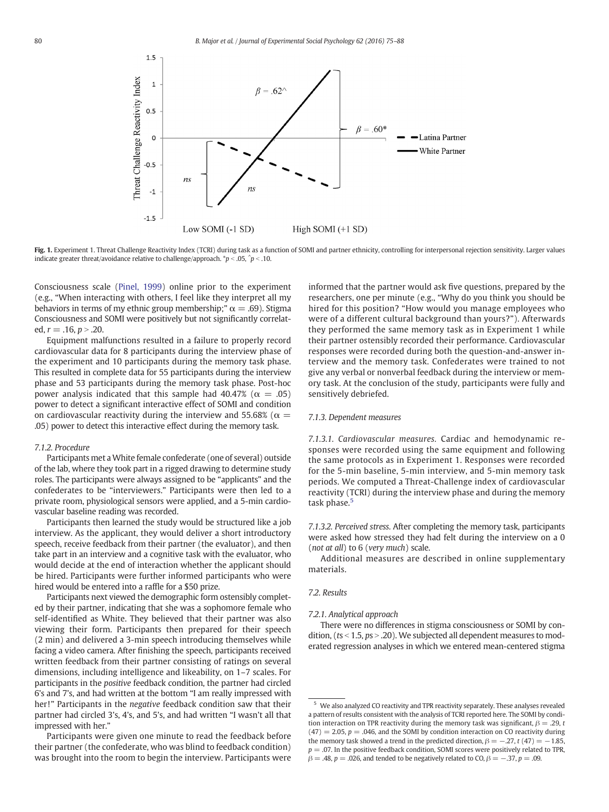<span id="page-5-0"></span>

Fig. 1. Experiment 1. Threat Challenge Reactivity Index (TCRI) during task as a function of SOMI and partner ethnicity, controlling for interpersonal rejection sensitivity. Larger values indicate greater threat/avoidance relative to challenge/approach.  $\hat{p}$  < .05,  $\hat{p}$  < .10.

Consciousness scale ([Pinel, 1999](#page-12-0)) online prior to the experiment (e.g., "When interacting with others, I feel like they interpret all my behaviors in terms of my ethnic group membership;"  $\alpha = .69$ ). Stigma Consciousness and SOMI were positively but not significantly correlated,  $r = .16$ ,  $p > .20$ .

Equipment malfunctions resulted in a failure to properly record cardiovascular data for 8 participants during the interview phase of the experiment and 10 participants during the memory task phase. This resulted in complete data for 55 participants during the interview phase and 53 participants during the memory task phase. Post-hoc power analysis indicated that this sample had 40.47% ( $\alpha = .05$ ) power to detect a significant interactive effect of SOMI and condition on cardiovascular reactivity during the interview and 55.68% ( $\alpha =$ .05) power to detect this interactive effect during the memory task.

#### 7.1.2. Procedure

Participants met a White female confederate (one of several) outside of the lab, where they took part in a rigged drawing to determine study roles. The participants were always assigned to be "applicants" and the confederates to be "interviewers." Participants were then led to a private room, physiological sensors were applied, and a 5-min cardiovascular baseline reading was recorded.

Participants then learned the study would be structured like a job interview. As the applicant, they would deliver a short introductory speech, receive feedback from their partner (the evaluator), and then take part in an interview and a cognitive task with the evaluator, who would decide at the end of interaction whether the applicant should be hired. Participants were further informed participants who were hired would be entered into a raffle for a \$50 prize.

Participants next viewed the demographic form ostensibly completed by their partner, indicating that she was a sophomore female who self-identified as White. They believed that their partner was also viewing their form. Participants then prepared for their speech (2 min) and delivered a 3-min speech introducing themselves while facing a video camera. After finishing the speech, participants received written feedback from their partner consisting of ratings on several dimensions, including intelligence and likeability, on 1–7 scales. For participants in the positive feedback condition, the partner had circled 6's and 7's, and had written at the bottom "I am really impressed with her!" Participants in the negative feedback condition saw that their partner had circled 3's, 4's, and 5's, and had written "I wasn't all that impressed with her."

Participants were given one minute to read the feedback before their partner (the confederate, who was blind to feedback condition) was brought into the room to begin the interview. Participants were informed that the partner would ask five questions, prepared by the researchers, one per minute (e.g., "Why do you think you should be hired for this position? "How would you manage employees who were of a different cultural background than yours?"). Afterwards they performed the same memory task as in Experiment 1 while their partner ostensibly recorded their performance. Cardiovascular responses were recorded during both the question-and-answer interview and the memory task. Confederates were trained to not give any verbal or nonverbal feedback during the interview or memory task. At the conclusion of the study, participants were fully and sensitively debriefed.

# 7.1.3. Dependent measures

7.1.3.1. Cardiovascular measures. Cardiac and hemodynamic responses were recorded using the same equipment and following the same protocols as in Experiment 1. Responses were recorded for the 5-min baseline, 5-min interview, and 5-min memory task periods. We computed a Threat-Challenge index of cardiovascular reactivity (TCRI) during the interview phase and during the memory task phase.<sup>5</sup>

7.1.3.2. Perceived stress. After completing the memory task, participants were asked how stressed they had felt during the interview on a 0 (not at all) to 6 (very much) scale.

Additional measures are described in online supplementary materials.

## 7.2. Results

#### 7.2.1. Analytical approach

There were no differences in stigma consciousness or SOMI by condition, ( $ts < 1.5$ ,  $ps > .20$ ). We subjected all dependent measures to moderated regression analyses in which we entered mean-centered stigma

 $^{\rm 5}$  We also analyzed CO reactivity and TPR reactivity separately. These analyses revealed a pattern of results consistent with the analysis of TCRI reported here. The SOMI by condition interaction on TPR reactivity during the memory task was significant,  $\beta = .29$ , t  $(47) = 2.05$ ,  $p = .046$ , and the SOMI by condition interaction on CO reactivity during the memory task showed a trend in the predicted direction,  $\beta = -.27$ , t (47) = -1.85,  $p = 0.07$ . In the positive feedback condition, SOMI scores were positively related to TPR,  $\beta = .48$ ,  $p = .026$ , and tended to be negatively related to CO,  $\beta = -.37$ ,  $p = .09$ .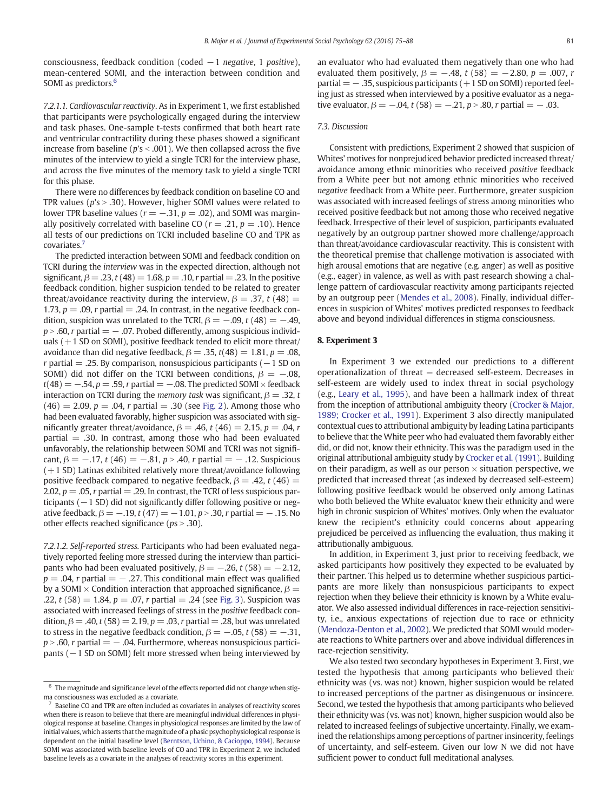consciousness, feedback condition (coded  $-1$  negative, 1 positive), mean-centered SOMI, and the interaction between condition and SOMI as predictors.<sup>6</sup>

7.2.1.1. Cardiovascular reactivity. As in Experiment 1, we first established that participants were psychologically engaged during the interview and task phases. One-sample t-tests confirmed that both heart rate and ventricular contractility during these phases showed a significant increase from baseline ( $p$ 's < .001). We then collapsed across the five minutes of the interview to yield a single TCRI for the interview phase, and across the five minutes of the memory task to yield a single TCRI for this phase.

There were no differences by feedback condition on baseline CO and TPR values ( $p$ 's  $>$  .30). However, higher SOMI values were related to lower TPR baseline values ( $r = -.31$ ,  $p = .02$ ), and SOMI was marginally positively correlated with baseline CO ( $r = .21$ ,  $p = .10$ ). Hence all tests of our predictions on TCRI included baseline CO and TPR as covariates.7

The predicted interaction between SOMI and feedback condition on TCRI during the interview was in the expected direction, although not significant,  $\beta = .23$ ,  $t(48) = 1.68$ ,  $p = .10$ , r partial = .23. In the positive feedback condition, higher suspicion tended to be related to greater threat/avoidance reactivity during the interview,  $\beta = .37$ , t (48) = 1.73,  $p = 0.09$ , r partial = .24. In contrast, in the negative feedback condition, suspicion was unrelated to the TCRI,  $\beta = -.09$ , t (48) = -.49,  $p > .60$ , r partial  $= -0.07$ . Probed differently, among suspicious individuals  $(+1$  SD on SOMI), positive feedback tended to elicit more threat/ avoidance than did negative feedback,  $\beta = .35$ ,  $t(48) = 1.81$ ,  $p = .08$ , r partial = .25. By comparison, nonsuspicious participants ( $-1$  SD on SOMI) did not differ on the TCRI between conditions,  $\beta = -.08$ ,  $t(48) = -.54, p = .59, r$  partial  $= -.08$ . The predicted SOMI  $\times$  feedback interaction on TCRI during the *memory task* was significant,  $\beta = 0.32$ , t  $(46) = 2.09$ ,  $p = .04$ , r partial  $= .30$  (see [Fig. 2](#page-7-0)). Among those who had been evaluated favorably, higher suspicion was associated with significantly greater threat/avoidance,  $\beta = .46$ , t (46) = 2.15, p = .04, r partial  $=$  .30. In contrast, among those who had been evaluated unfavorably, the relationship between SOMI and TCRI was not significant,  $\beta = -0.17$ ,  $t(46) = -0.81$ ,  $p > 0.40$ , r partial = − .12. Suspicious  $(+1 S<sub>D</sub>)$  Latinas exhibited relatively more threat/avoidance following positive feedback compared to negative feedback,  $\beta = .42$ , t (46) = 2.02,  $p = 0.05$ , r partial  $= 0.29$ . In contrast, the TCRI of less suspicious participants  $(-1 S)$  did not significantly differ following positive or negative feedback, β = −.19, t (47) = −1.01, p > .30, r partial = −.15. No other effects reached significance ( $ps > .30$ ).

7.2.1.2. Self-reported stress. Participants who had been evaluated negatively reported feeling more stressed during the interview than participants who had been evaluated positively,  $\beta = -.26$ , t (58) = -2.12,  $p = .04$ , r partial  $= -1.27$ . This conditional main effect was qualified by a SOMI  $\times$  Condition interaction that approached significance,  $\beta =$ .22,  $t(58) = 1.84$ ,  $p = .07$ , r partial = .24 (see [Fig. 3\)](#page-8-0). Suspicion was associated with increased feelings of stress in the positive feedback condition,  $\beta = .40$ ,  $t(58) = 2.19$ ,  $p = .03$ , r partial = .28, but was unrelated to stress in the negative feedback condition,  $\beta = -.05$ ,  $t(58) = -.31$ ,  $p > .60$ , r partial  $= - .04$ . Furthermore, whereas nonsuspicious participants (-1 SD on SOMI) felt more stressed when being interviewed by an evaluator who had evaluated them negatively than one who had evaluated them positively,  $\beta = -.48$ , t (58) = -2.80, p = .007, r partial  $=$  - .35, suspicious participants ( $+1$  SD on SOMI) reported feeling just as stressed when interviewed by a positive evaluator as a negative evaluator,  $\beta = -.04$ ,  $t(58) = -.21$ ,  $p > .80$ , r partial  $= -.03$ .

# 7.3. Discussion

Consistent with predictions, Experiment 2 showed that suspicion of Whites' motives for nonprejudiced behavior predicted increased threat/ avoidance among ethnic minorities who received positive feedback from a White peer but not among ethnic minorities who received negative feedback from a White peer. Furthermore, greater suspicion was associated with increased feelings of stress among minorities who received positive feedback but not among those who received negative feedback. Irrespective of their level of suspicion, participants evaluated negatively by an outgroup partner showed more challenge/approach than threat/avoidance cardiovascular reactivity. This is consistent with the theoretical premise that challenge motivation is associated with high arousal emotions that are negative (e.g. anger) as well as positive (e.g., eager) in valence, as well as with past research showing a challenge pattern of cardiovascular reactivity among participants rejected by an outgroup peer [\(Mendes et al., 2008\)](#page-12-0). Finally, individual differences in suspicion of Whites' motives predicted responses to feedback above and beyond individual differences in stigma consciousness.

# 8. Experiment 3

In Experiment 3 we extended our predictions to a different operationalization of threat — decreased self-esteem. Decreases in self-esteem are widely used to index threat in social psychology (e.g., [Leary et al., 1995\)](#page-12-0), and have been a hallmark index of threat from the inception of attributional ambiguity theory ([Crocker & Major,](#page-11-0) [1989; Crocker et al., 1991](#page-11-0)). Experiment 3 also directly manipulated contextual cues to attributional ambiguity by leading Latina participants to believe that the White peer who had evaluated them favorably either did, or did not, know their ethnicity. This was the paradigm used in the original attributional ambiguity study by [Crocker et al. \(1991\)](#page-12-0). Building on their paradigm, as well as our person  $\times$  situation perspective, we predicted that increased threat (as indexed by decreased self-esteem) following positive feedback would be observed only among Latinas who both believed the White evaluator knew their ethnicity and were high in chronic suspicion of Whites' motives. Only when the evaluator knew the recipient's ethnicity could concerns about appearing prejudiced be perceived as influencing the evaluation, thus making it attributionally ambiguous.

In addition, in Experiment 3, just prior to receiving feedback, we asked participants how positively they expected to be evaluated by their partner. This helped us to determine whether suspicious participants are more likely than nonsuspicious participants to expect rejection when they believe their ethnicity is known by a White evaluator. We also assessed individual differences in race-rejection sensitivity, i.e., anxious expectations of rejection due to race or ethnicity [\(Mendoza-Denton et al., 2002](#page-12-0)). We predicted that SOMI would moderate reactions to White partners over and above individual differences in race-rejection sensitivity.

We also tested two secondary hypotheses in Experiment 3. First, we tested the hypothesis that among participants who believed their ethnicity was (vs. was not) known, higher suspicion would be related to increased perceptions of the partner as disingenuous or insincere. Second, we tested the hypothesis that among participants who believed their ethnicity was (vs. was not) known, higher suspicion would also be related to increased feelings of subjective uncertainty. Finally, we examined the relationships among perceptions of partner insincerity, feelings of uncertainty, and self-esteem. Given our low N we did not have sufficient power to conduct full meditational analyses.

 $6$  The magnitude and significance level of the effects reported did not change when stigma consciousness was excluded as a covariate.

Baseline CO and TPR are often included as covariates in analyses of reactivity scores when there is reason to believe that there are meaningful individual differences in physiological response at baseline. Changes in physiological responses are limited by the law of initial values, which asserts that the magnitude of a phasic psychophysiological response is dependent on the initial baseline level ([Berntson, Uchino, & Cacioppo, 1994](#page-11-0)). Because SOMI was associated with baseline levels of CO and TPR in Experiment 2, we included baseline levels as a covariate in the analyses of reactivity scores in this experiment.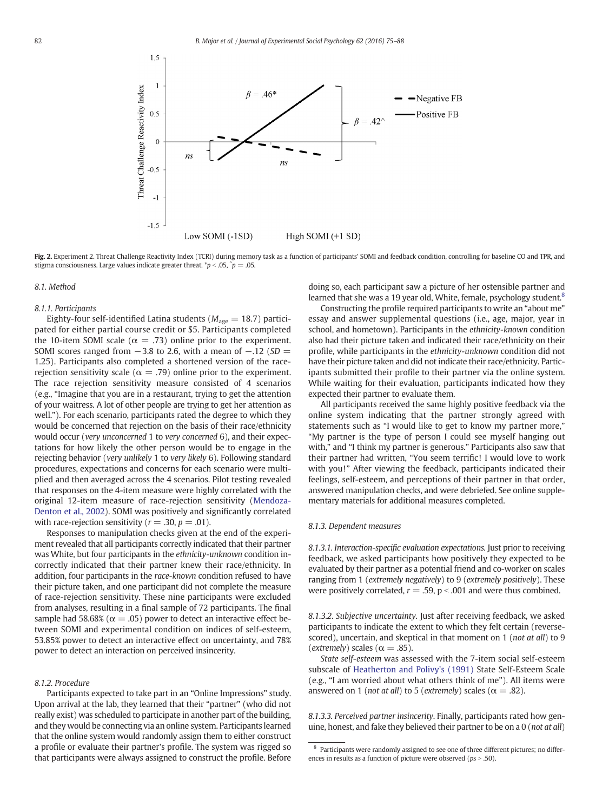<span id="page-7-0"></span>

Fig. 2. Experiment 2. Threat Challenge Reactivity Index (TCRI) during memory task as a function of participants' SOMI and feedback condition, controlling for baseline CO and TPR, and stigma consciousness. Large values indicate greater threat.  $\degree p < .05$ , ^p = .05.

#### 8.1. Method

#### 8.1.1. Participants

Eighty-four self-identified Latina students ( $M_{\text{age}} = 18.7$ ) participated for either partial course credit or \$5. Participants completed the 10-item SOMI scale ( $\alpha = .73$ ) online prior to the experiment. SOMI scores ranged from  $-3.8$  to 2.6, with a mean of  $-.12$  (SD = 1.25). Participants also completed a shortened version of the racerejection sensitivity scale ( $\alpha = .79$ ) online prior to the experiment. The race rejection sensitivity measure consisted of 4 scenarios (e.g., "Imagine that you are in a restaurant, trying to get the attention of your waitress. A lot of other people are trying to get her attention as well."). For each scenario, participants rated the degree to which they would be concerned that rejection on the basis of their race/ethnicity would occur (very unconcerned 1 to very concerned 6), and their expectations for how likely the other person would be to engage in the rejecting behavior (very unlikely 1 to very likely 6). Following standard procedures, expectations and concerns for each scenario were multiplied and then averaged across the 4 scenarios. Pilot testing revealed that responses on the 4-item measure were highly correlated with the original 12-item measure of race-rejection sensitivity ([Mendoza-](#page-12-0)[Denton et al., 2002](#page-12-0)). SOMI was positively and significantly correlated with race-rejection sensitivity ( $r = .30$ ,  $p = .01$ ).

Responses to manipulation checks given at the end of the experiment revealed that all participants correctly indicated that their partner was White, but four participants in the ethnicity-unknown condition incorrectly indicated that their partner knew their race/ethnicity. In addition, four participants in the race-known condition refused to have their picture taken, and one participant did not complete the measure of race-rejection sensitivity. These nine participants were excluded from analyses, resulting in a final sample of 72 participants. The final sample had 58.68% ( $\alpha = .05$ ) power to detect an interactive effect between SOMI and experimental condition on indices of self-esteem, 53.85% power to detect an interactive effect on uncertainty, and 78% power to detect an interaction on perceived insincerity.

# 8.1.2. Procedure

Participants expected to take part in an "Online Impressions" study. Upon arrival at the lab, they learned that their "partner" (who did not really exist) was scheduled to participate in another part of the building, and they would be connecting via an online system. Participants learned that the online system would randomly assign them to either construct a profile or evaluate their partner's profile. The system was rigged so that participants were always assigned to construct the profile. Before doing so, each participant saw a picture of her ostensible partner and learned that she was a 19 year old, White, female, psychology student.<sup>8</sup>

Constructing the profile required participants to write an "about me" essay and answer supplemental questions (i.e., age, major, year in school, and hometown). Participants in the ethnicity-known condition also had their picture taken and indicated their race/ethnicity on their profile, while participants in the ethnicity-unknown condition did not have their picture taken and did not indicate their race/ethnicity. Participants submitted their profile to their partner via the online system. While waiting for their evaluation, participants indicated how they expected their partner to evaluate them.

All participants received the same highly positive feedback via the online system indicating that the partner strongly agreed with statements such as "I would like to get to know my partner more," "My partner is the type of person I could see myself hanging out with," and "I think my partner is generous." Participants also saw that their partner had written, "You seem terrific! I would love to work with you!" After viewing the feedback, participants indicated their feelings, self-esteem, and perceptions of their partner in that order, answered manipulation checks, and were debriefed. See online supplementary materials for additional measures completed.

#### 8.1.3. Dependent measures

8.1.3.1. Interaction-specific evaluation expectations. Just prior to receiving feedback, we asked participants how positively they expected to be evaluated by their partner as a potential friend and co-worker on scales ranging from 1 (extremely negatively) to 9 (extremely positively). These were positively correlated,  $r = .59$ ,  $p < .001$  and were thus combined.

8.1.3.2. Subjective uncertainty. Just after receiving feedback, we asked participants to indicate the extent to which they felt certain (reversescored), uncertain, and skeptical in that moment on 1 (not at all) to 9 (extremely) scales ( $\alpha = .85$ ).

State self-esteem was assessed with the 7-item social self-esteem subscale of [Heatherton and Polivy's \(1991\)](#page-12-0) State Self-Esteem Scale (e.g., "I am worried about what others think of me"). All items were answered on 1 (not at all) to 5 (extremely) scales ( $\alpha = .82$ ).

8.1.3.3. Perceived partner insincerity. Finally, participants rated how genuine, honest, and fake they believed their partner to be on a 0 (not at all)

<sup>&</sup>lt;sup>8</sup> Participants were randomly assigned to see one of three different pictures; no differences in results as a function of picture were observed ( $ps > .50$ ).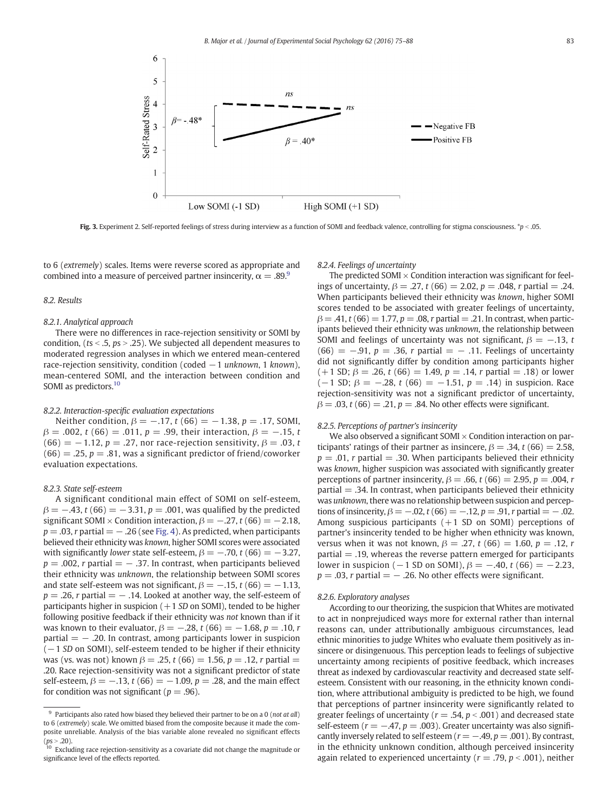<span id="page-8-0"></span>

Fig. 3. Experiment 2. Self-reported feelings of stress during interview as a function of SOMI and feedback valence, controlling for stigma consciousness.  $\dot{p}$  < .05.

to 6 (extremely) scales. Items were reverse scored as appropriate and combined into a measure of perceived partner insincerity,  $\alpha = .89$ .

#### 8.2. Results

# 8.2.1. Analytical approach

There were no differences in race-rejection sensitivity or SOMI by condition, ( $ts < 0.5$ ,  $ps > 0.25$ ). We subjected all dependent measures to moderated regression analyses in which we entered mean-centered race-rejection sensitivity, condition (coded  $-1$  unknown, 1 known), mean-centered SOMI, and the interaction between condition and SOMI as predictors.<sup>10</sup>

#### 8.2.2. Interaction-specific evaluation expectations

Neither condition,  $\beta = -.17$ , t (66) = -1.38, p = .17, SOMI,  $β = .002$ , t (66) = .011, p = .99, their interaction,  $β = -.15$ , t  $(66) = -1.12$ ,  $p = .27$ , nor race-rejection sensitivity,  $\beta = .03$ , t  $(66) = .25$ ,  $p = .81$ , was a significant predictor of friend/coworker evaluation expectations.

#### 8.2.3. State self-esteem

A significant conditional main effect of SOMI on self-esteem,  $\beta = -0.43$ , t (66) =  $-3.31$ , p = .001, was qualified by the predicted significant SOMI × Condition interaction,  $\beta = -.27$ , t (66) = -2.18,  $p = .03$ , r partial  $= -.26$  (see [Fig. 4](#page-9-0)). As predicted, when participants believed their ethnicity was known, higher SOMI scores were associated with significantly lower state self-esteem,  $\beta = -.70$ , t (66) = -3.27,  $p = .002$ , r partial  $= - .37$ . In contrast, when participants believed their ethnicity was unknown, the relationship between SOMI scores and state self-esteem was not significant,  $\beta = -.15$ , t (66) = -1.13,  $p = 0.26$ , r partial =  $-0.14$ . Looked at another way, the self-esteem of participants higher in suspicion  $(+1 S D)$  on SOMI), tended to be higher following positive feedback if their ethnicity was not known than if it was known to their evaluator,  $β = −.28$ ,  $t (66) = −1.68$ ,  $p = .10$ , r  $partial = -0.20$ . In contrast, among participants lower in suspicion −1 SD on SOMI), self-esteem tended to be higher if their ethnicity was (vs. was not) known  $\beta = .25$ , t (66) = 1.56, p = .12, r partial = .20. Race rejection-sensitivity was not a significant predictor of state self-esteem,  $\beta = -.13$ , t (66) = -1.09, p = .28, and the main effect for condition was not significant ( $p = .96$ ).

#### 8.2.4. Feelings of uncertainty

The predicted SOMI  $\times$  Condition interaction was significant for feelings of uncertainty,  $\beta = .27$ , t (66) = 2.02, p = .048, r partial = .24. When participants believed their ethnicity was known, higher SOMI scores tended to be associated with greater feelings of uncertainty,  $\beta = .41$ , t (66) = 1.77, p = .08, r partial = .21. In contrast, when participants believed their ethnicity was unknown, the relationship between SOMI and feelings of uncertainty was not significant,  $\beta = -.13$ , t (66) =  $-.91$ ,  $p = .36$ , r partial =  $-.11$ . Feelings of uncertainty did not significantly differ by condition among participants higher (+1 SD;  $\beta$  = .26, t (66) = 1.49, p = .14, r partial = .18) or lower (-1 SD;  $\beta = -.28$ , t (66) = -1.51, p = .14) in suspicion. Race rejection-sensitivity was not a significant predictor of uncertainty,  $\beta = .03$ , t (66) = .21, p = .84. No other effects were significant.

#### 8.2.5. Perceptions of partner's insincerity

We also observed a significant SOMI  $\times$  Condition interaction on participants' ratings of their partner as insincere,  $\beta = .34$ , t (66) = 2.58,  $p = .01$ , r partial  $= .30$ . When participants believed their ethnicity was known, higher suspicion was associated with significantly greater perceptions of partner insincerity,  $\beta = .66$ , t (66) = 2.95, p = .004, r  $partial = .34$ . In contrast, when participants believed their ethnicity was unknown, there was no relationship between suspicion and perceptions of insincerity,  $\beta = -.02$ ,  $t(66) = -.12$ ,  $p = .91$ , r partial  $= -.02$ . Among suspicious participants  $(+1 S$ D on SOMI) perceptions of partner's insincerity tended to be higher when ethnicity was known, versus when it was not known,  $β = .27$ , t (66) = 1.60, p = .12, r  $partial = .19$ , whereas the reverse pattern emerged for participants lower in suspicion (−1 SD on SOMI),  $\beta$  = −.40, t (66) = −2.23,  $p = .03$ , r partial  $= - .26$ . No other effects were significant.

#### 8.2.6. Exploratory analyses

According to our theorizing, the suspicion that Whites are motivated to act in nonprejudiced ways more for external rather than internal reasons can, under attributionally ambiguous circumstances, lead ethnic minorities to judge Whites who evaluate them positively as insincere or disingenuous. This perception leads to feelings of subjective uncertainty among recipients of positive feedback, which increases threat as indexed by cardiovascular reactivity and decreased state selfesteem. Consistent with our reasoning, in the ethnicity known condition, where attributional ambiguity is predicted to be high, we found that perceptions of partner insincerity were significantly related to greater feelings of uncertainty ( $r = .54$ ,  $p < .001$ ) and decreased state self-esteem ( $r = -.47$ ,  $p = .003$ ). Greater uncertainty was also significantly inversely related to self esteem ( $r = -.49$ ,  $p = .001$ ). By contrast, in the ethnicity unknown condition, although perceived insincerity again related to experienced uncertainty ( $r = .79$ ,  $p < .001$ ), neither

Participants also rated how biased they believed their partner to be on a 0 (not at all) to 6 (extremely) scale. We omitted biased from the composite because it made the composite unreliable. Analysis of the bias variable alone revealed no significant effects  $(ps > .20)$ .

 $\tilde{a}^{10}$  Excluding race rejection-sensitivity as a covariate did not change the magnitude or significance level of the effects reported.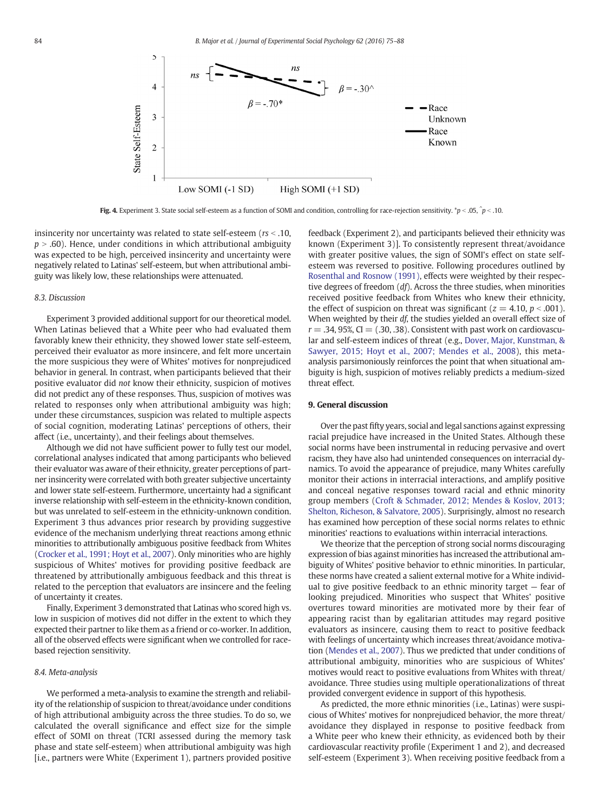<span id="page-9-0"></span>

**Fig. 4.** Experiment 3. State social self-esteem as a function of SOMI and condition, controlling for race-rejection sensitivity.  $\sp{\ast}_p$  < .05, ^p < .10.

insincerity nor uncertainty was related to state self-esteem ( $rs < .10$ ,  $p > .60$ ). Hence, under conditions in which attributional ambiguity was expected to be high, perceived insincerity and uncertainty were negatively related to Latinas' self-esteem, but when attributional ambiguity was likely low, these relationships were attenuated.

# 8.3. Discussion

Experiment 3 provided additional support for our theoretical model. When Latinas believed that a White peer who had evaluated them favorably knew their ethnicity, they showed lower state self-esteem, perceived their evaluator as more insincere, and felt more uncertain the more suspicious they were of Whites' motives for nonprejudiced behavior in general. In contrast, when participants believed that their positive evaluator did not know their ethnicity, suspicion of motives did not predict any of these responses. Thus, suspicion of motives was related to responses only when attributional ambiguity was high; under these circumstances, suspicion was related to multiple aspects of social cognition, moderating Latinas' perceptions of others, their affect (i.e., uncertainty), and their feelings about themselves.

Although we did not have sufficient power to fully test our model, correlational analyses indicated that among participants who believed their evaluator was aware of their ethnicity, greater perceptions of partner insincerity were correlated with both greater subjective uncertainty and lower state self-esteem. Furthermore, uncertainty had a significant inverse relationship with self-esteem in the ethnicity-known condition, but was unrelated to self-esteem in the ethnicity-unknown condition. Experiment 3 thus advances prior research by providing suggestive evidence of the mechanism underlying threat reactions among ethnic minorities to attributionally ambiguous positive feedback from Whites [\(Crocker et al., 1991; Hoyt et al., 2007](#page-12-0)). Only minorities who are highly suspicious of Whites' motives for providing positive feedback are threatened by attributionally ambiguous feedback and this threat is related to the perception that evaluators are insincere and the feeling of uncertainty it creates.

Finally, Experiment 3 demonstrated that Latinas who scored high vs. low in suspicion of motives did not differ in the extent to which they expected their partner to like them as a friend or co-worker. In addition, all of the observed effects were significant when we controlled for racebased rejection sensitivity.

## 8.4. Meta-analysis

We performed a meta-analysis to examine the strength and reliability of the relationship of suspicion to threat/avoidance under conditions of high attributional ambiguity across the three studies. To do so, we calculated the overall significance and effect size for the simple effect of SOMI on threat (TCRI assessed during the memory task phase and state self-esteem) when attributional ambiguity was high [i.e., partners were White (Experiment 1), partners provided positive feedback (Experiment 2), and participants believed their ethnicity was known (Experiment 3)]. To consistently represent threat/avoidance with greater positive values, the sign of SOMI's effect on state selfesteem was reversed to positive. Following procedures outlined by [Rosenthal and Rosnow \(1991\),](#page-12-0) effects were weighted by their respective degrees of freedom (df). Across the three studies, when minorities received positive feedback from Whites who knew their ethnicity, the effect of suspicion on threat was significant ( $z = 4.10$ ,  $p < .001$ ). When weighted by their df, the studies yielded an overall effect size of  $r = 0.34, 95\%$ , CI  $= (0.30, 0.38)$ . Consistent with past work on cardiovascular and self-esteem indices of threat (e.g., [Dover, Major, Kunstman, &](#page-12-0) [Sawyer, 2015; Hoyt et al., 2007; Mendes et al., 2008\)](#page-12-0), this metaanalysis parsimoniously reinforces the point that when situational ambiguity is high, suspicion of motives reliably predicts a medium-sized threat effect.

# 9. General discussion

Over the past fifty years, social and legal sanctions against expressing racial prejudice have increased in the United States. Although these social norms have been instrumental in reducing pervasive and overt racism, they have also had unintended consequences on interracial dynamics. To avoid the appearance of prejudice, many Whites carefully monitor their actions in interracial interactions, and amplify positive and conceal negative responses toward racial and ethnic minority group members [\(Croft & Schmader, 2012; Mendes & Koslov, 2013;](#page-12-0) [Shelton, Richeson, & Salvatore, 2005\)](#page-12-0). Surprisingly, almost no research has examined how perception of these social norms relates to ethnic minorities' reactions to evaluations within interracial interactions.

We theorize that the perception of strong social norms discouraging expression of bias against minorities has increased the attributional ambiguity of Whites' positive behavior to ethnic minorities. In particular, these norms have created a salient external motive for a White individual to give positive feedback to an ethnic minority target — fear of looking prejudiced. Minorities who suspect that Whites' positive overtures toward minorities are motivated more by their fear of appearing racist than by egalitarian attitudes may regard positive evaluators as insincere, causing them to react to positive feedback with feelings of uncertainty which increases threat/avoidance motivation ([Mendes et al., 2007\)](#page-12-0). Thus we predicted that under conditions of attributional ambiguity, minorities who are suspicious of Whites' motives would react to positive evaluations from Whites with threat/ avoidance. Three studies using multiple operationalizations of threat provided convergent evidence in support of this hypothesis.

As predicted, the more ethnic minorities (i.e., Latinas) were suspicious of Whites' motives for nonprejudiced behavior, the more threat/ avoidance they displayed in response to positive feedback from a White peer who knew their ethnicity, as evidenced both by their cardiovascular reactivity profile (Experiment 1 and 2), and decreased self-esteem (Experiment 3). When receiving positive feedback from a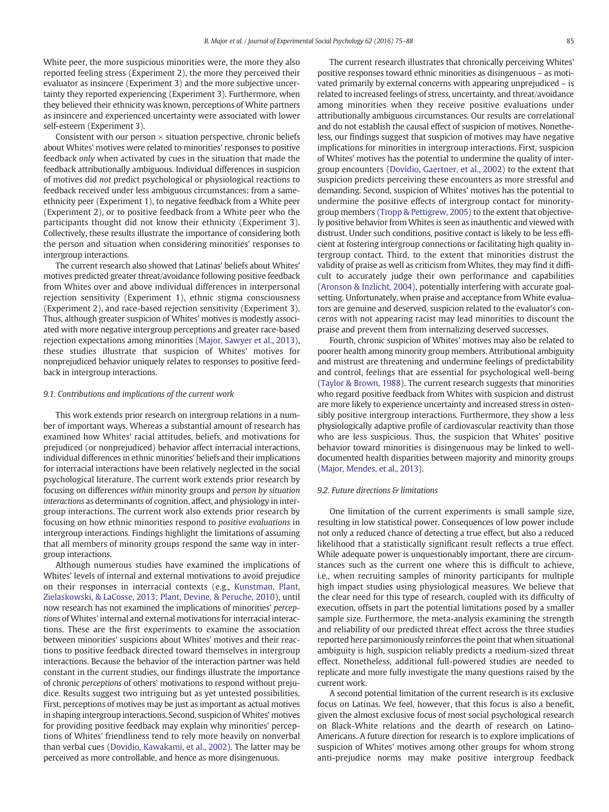White peer, the more suspicious minorities were, the more they also reported feeling stress (Experiment 2), the more they perceived their evaluator as insincere (Experiment 3) and the more subjective uncertainty they reported experiencing (Experiment 3). Furthermore, when they believed their ethnicity was known, perceptions of White partners as insincere and experienced uncertainty were associated with lower self-esteem (Experiment 3).

Consistent with our person  $\times$  situation perspective, chronic beliefs about Whites' motives were related to minorities' responses to positive feedback only when activated by cues in the situation that made the feedback attributionally ambiguous. Individual differences in suspicion of motives did not predict psychological or physiological reactions to feedback received under less ambiguous circumstances: from a sameethnicity peer (Experiment 1), to negative feedback from a White peer (Experiment 2), or to positive feedback from a White peer who the participants thought did not know their ethnicity (Experiment 3). Collectively, these results illustrate the importance of considering both the person and situation when considering minorities' responses to intergroup interactions.

The current research also showed that Latinas' beliefs about Whites' motives predicted greater threat/avoidance following positive feedback from Whites over and above individual differences in interpersonal rejection sensitivity (Experiment 1), ethnic stigma consciousness (Experiment 2), and race-based rejection sensitivity (Experiment 3). Thus, although greater suspicion of Whites' motives is modestly associated with more negative intergroup perceptions and greater race-based rejection expectations among minorities ([Major, Sawyer et al., 2013](#page-12-0)), these studies illustrate that suspicion of Whites' motives for nonprejudiced behavior uniquely relates to responses to positive feedback in intergroup interactions.

#### 9.1. Contributions and implications of the current work

This work extends prior research on intergroup relations in a number of important ways. Whereas a substantial amount of research has examined how Whites' racial attitudes, beliefs, and motivations for prejudiced (or nonprejudiced) behavior affect interracial interactions, individual differences in ethnic minorities' beliefs and their implications for interracial interactions have been relatively neglected in the social psychological literature. The current work extends prior research by focusing on differences within minority groups and person by situation interactions as determinants of cognition, affect, and physiology in intergroup interactions. The current work also extends prior research by focusing on how ethnic minorities respond to positive evaluations in intergroup interactions. Findings highlight the limitations of assuming that all members of minority groups respond the same way in intergroup interactions.

Although numerous studies have examined the implications of Whites' levels of internal and external motivations to avoid prejudice on their responses in interracial contexts (e.g., [Kunstman, Plant,](#page-12-0) [Zielaskowski, & LaCosse, 2013; Plant, Devine, & Peruche, 2010\)](#page-12-0), until now research has not examined the implications of minorities' perceptions of Whites' internal and external motivations for interracial interactions. These are the first experiments to examine the association between minorities' suspicions about Whites' motives and their reactions to positive feedback directed toward themselves in intergroup interactions. Because the behavior of the interaction partner was held constant in the current studies, our findings illustrate the importance of chronic perceptions of others' motivations to respond without prejudice. Results suggest two intriguing but as yet untested possibilities. First, perceptions of motives may be just as important as actual motives in shaping intergroup interactions. Second, suspicion of Whites' motives for providing positive feedback may explain why minorities' perceptions of Whites' friendliness tend to rely more heavily on nonverbal than verbal cues ([Dovidio, Kawakami, et al., 2002](#page-12-0)). The latter may be perceived as more controllable, and hence as more disingenuous.

The current research illustrates that chronically perceiving Whites' positive responses toward ethnic minorities as disingenuous – as motivated primarily by external concerns with appearing unprejudiced – is related to increased feelings of stress, uncertainty, and threat/avoidance among minorities when they receive positive evaluations under attributionally ambiguous circumstances. Our results are correlational and do not establish the causal effect of suspicion of motives. Nonetheless, our findings suggest that suspicion of motives may have negative implications for minorities in intergroup interactions. First, suspicion of Whites' motives has the potential to undermine the quality of intergroup encounters [\(Dovidio, Gaertner, et al., 2002](#page-12-0)) to the extent that suspicion predicts perceiving these encounters as more stressful and demanding. Second, suspicion of Whites' motives has the potential to undermine the positive effects of intergroup contact for minoritygroup members [\(Tropp & Pettigrew, 2005\)](#page-13-0) to the extent that objectively positive behavior from Whites is seen as inauthentic and viewed with distrust. Under such conditions, positive contact is likely to be less efficient at fostering intergroup connections or facilitating high quality intergroup contact. Third, to the extent that minorities distrust the validity of praise as well as criticism from Whites, they may find it difficult to accurately judge their own performance and capabilities [\(Aronson & Inzlicht, 2004\)](#page-11-0), potentially interfering with accurate goalsetting. Unfortunately, when praise and acceptance from White evaluators are genuine and deserved, suspicion related to the evaluator's concerns with not appearing racist may lead minorities to discount the praise and prevent them from internalizing deserved successes.

Fourth, chronic suspicion of Whites' motives may also be related to poorer health among minority group members. Attributional ambiguity and mistrust are threatening and undermine feelings of predictability and control, feelings that are essential for psychological well-being [\(Taylor & Brown, 1988\)](#page-12-0). The current research suggests that minorities who regard positive feedback from Whites with suspicion and distrust are more likely to experience uncertainty and increased stress in ostensibly positive intergroup interactions. Furthermore, they show a less physiologically adaptive profile of cardiovascular reactivity than those who are less suspicious. Thus, the suspicion that Whites' positive behavior toward minorities is disingenuous may be linked to welldocumented health disparities between majority and minority groups [\(Major, Mendes, et al., 2013](#page-12-0)).

#### 9.2. Future directions & limitations

One limitation of the current experiments is small sample size, resulting in low statistical power. Consequences of low power include not only a reduced chance of detecting a true effect, but also a reduced likelihood that a statistically significant result reflects a true effect. While adequate power is unquestionably important, there are circumstances such as the current one where this is difficult to achieve, i.e., when recruiting samples of minority participants for multiple high impact studies using physiological measures. We believe that the clear need for this type of research, coupled with its difficulty of execution, offsets in part the potential limitations posed by a smaller sample size. Furthermore, the meta-analysis examining the strength and reliability of our predicted threat effect across the three studies reported here parsimoniously reinforces the point that when situational ambiguity is high, suspicion reliably predicts a medium-sized threat effect. Nonetheless, additional full-powered studies are needed to replicate and more fully investigate the many questions raised by the current work.

A second potential limitation of the current research is its exclusive focus on Latinas. We feel, however, that this focus is also a benefit, given the almost exclusive focus of most social psychological research on Black-White relations and the dearth of research on Latino-Americans. A future direction for research is to explore implications of suspicion of Whites' motives among other groups for whom strong anti-prejudice norms may make positive intergroup feedback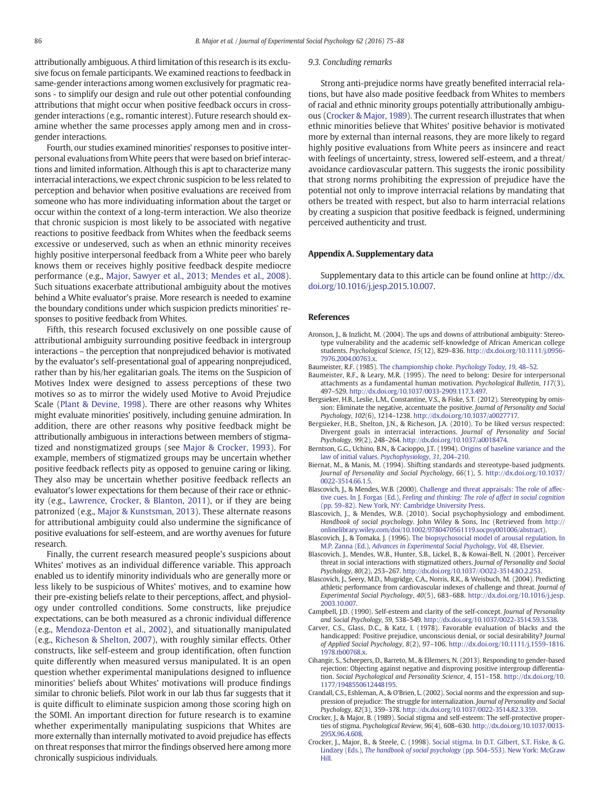<span id="page-11-0"></span>attributionally ambiguous. A third limitation of this research is its exclusive focus on female participants. We examined reactions to feedback in same-gender interactions among women exclusively for pragmatic reasons - to simplify our design and rule out other potential confounding attributions that might occur when positive feedback occurs in crossgender interactions (e.g., romantic interest). Future research should examine whether the same processes apply among men and in crossgender interactions.

Fourth, our studies examined minorities' responses to positive interpersonal evaluations from White peers that were based on brief interactions and limited information. Although this is apt to characterize many interracial interactions, we expect chronic suspicion to be less related to perception and behavior when positive evaluations are received from someone who has more individuating information about the target or occur within the context of a long-term interaction. We also theorize that chronic suspicion is most likely to be associated with negative reactions to positive feedback from Whites when the feedback seems excessive or undeserved, such as when an ethnic minority receives highly positive interpersonal feedback from a White peer who barely knows them or receives highly positive feedback despite mediocre performance (e.g., [Major, Sawyer et al., 2013; Mendes et al., 2008](#page-12-0)). Such situations exacerbate attributional ambiguity about the motives behind a White evaluator's praise. More research is needed to examine the boundary conditions under which suspicion predicts minorities' responses to positive feedback from Whites.

Fifth, this research focused exclusively on one possible cause of attributional ambiguity surrounding positive feedback in intergroup interactions – the perception that nonprejudiced behavior is motivated by the evaluator's self-presentational goal of appearing nonprejudiced, rather than by his/her egalitarian goals. The items on the Suspicion of Motives Index were designed to assess perceptions of these two motives so as to mirror the widely used Motive to Avoid Prejudice Scale [\(Plant & Devine, 1998\)](#page-12-0). There are other reasons why Whites might evaluate minorities' positively, including genuine admiration. In addition, there are other reasons why positive feedback might be attributionally ambiguous in interactions between members of stigmatized and nonstigmatized groups (see [Major & Crocker, 1993](#page-12-0)). For example, members of stigmatized groups may be uncertain whether positive feedback reflects pity as opposed to genuine caring or liking. They also may be uncertain whether positive feedback reflects an evaluator's lower expectations for them because of their race or ethnicity (e.g., [Lawrence, Crocker, & Blanton, 2011](#page-12-0)), or if they are being patronized (e.g., [Major & Kunstsman, 2013\)](#page-12-0). These alternate reasons for attributional ambiguity could also undermine the significance of positive evaluations for self-esteem, and are worthy avenues for future research.

Finally, the current research measured people's suspicions about Whites' motives as an individual difference variable. This approach enabled us to identify minority individuals who are generally more or less likely to be suspicious of Whites' motives, and to examine how their pre-existing beliefs relate to their perceptions, affect, and physiology under controlled conditions. Some constructs, like prejudice expectations, can be both measured as a chronic individual difference (e.g., [Mendoza-Denton et al., 2002](#page-12-0)), and situationally manipulated (e.g., [Richeson & Shelton, 2007\)](#page-12-0), with roughly similar effects. Other constructs, like self-esteem and group identification, often function quite differently when measured versus manipulated. It is an open question whether experimental manipulations designed to influence minorities' beliefs about Whites' motivations will produce findings similar to chronic beliefs. Pilot work in our lab thus far suggests that it is quite difficult to eliminate suspicion among those scoring high on the SOMI. An important direction for future research is to examine whether experimentally manipulating suspicions that Whites are more externally than internally motivated to avoid prejudice has effects on threat responses that mirror the findings observed here among more chronically suspicious individuals.

#### 9.3. Concluding remarks

Strong anti-prejudice norms have greatly benefited interracial relations, but have also made positive feedback from Whites to members of racial and ethnic minority groups potentially attributionally ambiguous (Crocker & Major, 1989). The current research illustrates that when ethnic minorities believe that Whites' positive behavior is motivated more by external than internal reasons, they are more likely to regard highly positive evaluations from White peers as insincere and react with feelings of uncertainty, stress, lowered self-esteem, and a threat/ avoidance cardiovascular pattern. This suggests the ironic possibility that strong norms prohibiting the expression of prejudice have the potential not only to improve interracial relations by mandating that others be treated with respect, but also to harm interracial relations by creating a suspicion that positive feedback is feigned, undermining perceived authenticity and trust.

### Appendix A. Supplementary data

Supplementary data to this article can be found online at [http://dx.](http://dx.doi.org/10.1016/j.jesp.2015.10.007) [doi.org/10.1016/j.jesp.2015.10.007](http://dx.doi.org/10.1016/j.jesp.2015.10.007).

#### References

- Aronson, J., & Inzlicht, M. (2004). The ups and downs of attributional ambiguity: Stereotype vulnerability and the academic self-knowledge of African American college students. Psychological Science, 15(12), 829–836. http://dx.doi.org/[10.1111/j.0956-](http://dx.doi.org/10.1111/j.0956-7976.2004.00763.x) [7976.2004.00763.x](http://dx.doi.org/10.1111/j.0956-7976.2004.00763.x).
- Baumeister, R.F. (1985). [The championship choke.](http://refhub.elsevier.com/S0022-1031(15)30007-X/rf0010) Psychology Today, 19, 48–52.
- Baumeister, R.F., & Leary, M.R. (1995). The need to belong: Desire for interpersonal attachments as a fundamental human motivation. Psychological Bulletin, 117(3), 497–529. http://dx.doi.org/[10.1037/0033-2909.117.3.497](http://dx.doi.org/10.1037/0033-2909.117.3.497).
- Bergsieker, H.B., Leslie, L.M., Constantine, V.S., & Fiske, S.T. (2012). Stereotyping by omission: Eliminate the negative, accentuate the positive. Journal of Personality and Social Psychology, 102(6), 1214–1238. http://dx.doi.org[/10.1037/a0027717](http://dx.doi.org/10.1037/a0027717).
- Bergsieker, H.B., Shelton, J.N., & Richeson, J.A. (2010). To be liked versus respected: Divergent goals in interracial interactions. Journal of Personality and Social Psychology, 99(2), 248–264. http://dx.doi.org[/10.1037/a0018474.](http://dx.doi.org/10.1037/a0018474)
- Berntson, G.G., Uchino, B.N., & Cacioppo, J.T. (1994). [Origins of baseline variance and the](http://refhub.elsevier.com/S0022-1031(15)30007-X/rf0030) [law of initial values.](http://refhub.elsevier.com/S0022-1031(15)30007-X/rf0030) Psychophysiology, 31, 204–210.
- Biernat, M., & Manis, M. (1994). Shifting standards and stereotype-based judgments. Journal of Personality and Social Psychology, 66(1), 5. http://dx.doi.org/[10.1037/](http://dx.doi.org/10.1037/0022-3514.66.1.5) [0022-3514.66.1.5.](http://dx.doi.org/10.1037/0022-3514.66.1.5)
- Blascovich, J., & Mendes, W.B. (2000). [Challenge and threat appraisals: The role of affec](http://refhub.elsevier.com/S0022-1031(15)30007-X/rf0040)tive cues. In J. Forgas (Ed.), [Feeling and thinking: The role of affect in social cognition](http://refhub.elsevier.com/S0022-1031(15)30007-X/rf0040) (pp. 59–[82\). New York, NY: Cambridge University Press.](http://refhub.elsevier.com/S0022-1031(15)30007-X/rf0040)
- Blascovich, J., & Mendes, W.B. (2010). Social psychophysiology and embodiment. Handbook of social psychology. John Wiley & Sons, Inc (Retrieved from [http://](http://dx.doi.org/) [onlinelibrary.wiley.com/doi/10.1002/9780470561119.socpsy001006/abstract\)](http://dx.doi.org/).
- Blascovich, J., & Tomaka, J. (1996). [The biopsychosocial model of arousal regulation. In](http://refhub.elsevier.com/S0022-1031(15)30007-X/rf0050) M.P. Zanna (Ed.), [Advances in Experimental Social Psychology](http://refhub.elsevier.com/S0022-1031(15)30007-X/rf0050), Vol. 48, Elsevier.
- Blascovich, J., Mendes, W.B., Hunter, S.B., Lickel, B., & Kowai-Bell, N. (2001). Perceiver threat in social interactions with stigmatized others. Journal of Personality and Social Psychology, 80(2), 253–267. http://dx.doi.org[/10.1037//OO22-3514.8O.2.253.](http://dx.doi.org/10.1037//OO22-3514.8O.2.253)
- Blascovich, J., Seery, M.D., Mugridge, C.A., Norris, R.K., & Weisbuch, M. (2004). Predicting athletic performance from cardiovascular indexes of challenge and threat. Journal of Experimental Social Psychology, 40(5), 683–688. http://dx.doi.org[/10.1016/j.jesp.](http://dx.doi.org/10.1016/j.jesp.2003.10.007) [2003.10.007](http://dx.doi.org/10.1016/j.jesp.2003.10.007).
- Campbell, J.D. (1990). Self-esteem and clarity of the self-concept. Journal of Personality and Social Psychology, 59, 538–549. http://dx.doi.org/[10.1037/0022-3514.59.3.538.](http://dx.doi.org/10.1037/0022-3514.59.3.538)
- Carver, C.S., Glass, D.C., & Katz, I. (1978). Favorable evaluation of blacks and the handicapped: Positive prejudice, unconscious denial, or social desirability? Journal of Applied Social Psychology, 8(2), 97–106. http://dx.doi.org/[10.1111/j.1559-1816.](http://dx.doi.org/10.1111/j.1559-1816.1978.tb00768.x) [1978.tb00768.x.](http://dx.doi.org/10.1111/j.1559-1816.1978.tb00768.x)
- Cihangir, S., Scheepers, D., Barreto, M., & Ellemers, N. (2013). Responding to gender-based rejection: Objecting against negative and disproving positive intergroup differentiation. Social Psychological and Personality Science, 4, 151–158. http://dx.doi.org/[10.](http://dx.doi.org/10.1177/1948550612448195) [1177/1948550612448195.](http://dx.doi.org/10.1177/1948550612448195)
- Crandall, C.S., Eshleman, A., & O'Brien, L. (2002). Social norms and the expression and suppression of prejudice: The struggle for internalization. Journal of Personality and Social Psychology, 82(3), 359–378. http://dx.doi.org[/10.1037/0022-3514.82.3.359](http://dx.doi.org/10.1037/0022-3514.82.3.359).
- Crocker, J., & Major, B. (1989). Social stigma and self-esteem: The self-protective properties of stigma. Psychological Review, 96(4), 608–630. http://dx.doi.org[/10.1037/0033-](http://dx.doi.org/10.1037/0033-295X.96.4.608) [295X.96.4.608.](http://dx.doi.org/10.1037/0033-295X.96.4.608)
- Crocker, J., Major, B., & Steele, C. (1998). [Social stigma. In D.T. Gilbert, S.T. Fiske, & G.](http://refhub.elsevier.com/S0022-1031(15)30007-X/rf0090) Lindzey (Eds.), [The handbook of social psychology](http://refhub.elsevier.com/S0022-1031(15)30007-X/rf0090) (pp. 504–553). New York: McGraw [Hill.](http://refhub.elsevier.com/S0022-1031(15)30007-X/rf0090)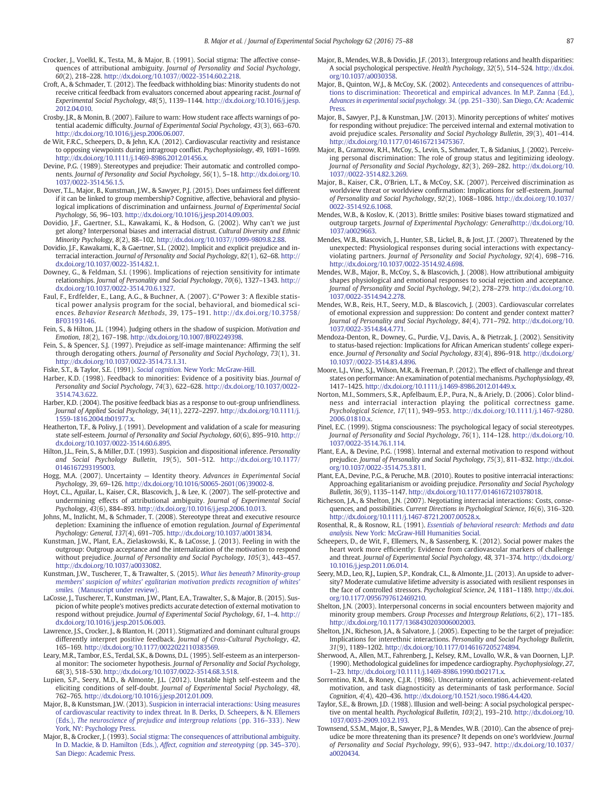- <span id="page-12-0"></span>Crocker, J., Voelkl, K., Testa, M., & Major, B. (1991). Social stigma: The affective consequences of attributional ambiguity. Journal of Personality and Social Psychology, 60(2), 218–228. http://dx.doi.org/[10.1037//0022-3514.60.2.218](http://dx.doi.org/10.1037//0022-3514.60.2.218).
- Croft, A., & Schmader, T. (2012). The feedback withholding bias: Minority students do not receive critical feedback from evaluators concerned about appearing racist. Journal of Experimental Social Psychology, 48(5), 1139–1144. http://dx.doi.org[/10.1016/j.jesp.](http://dx.doi.org/10.1016/j.jesp.2012.04.010) [2012.04.010](http://dx.doi.org/10.1016/j.jesp.2012.04.010).
- Crosby, J.R., & Monin, B. (2007). Failure to warn: How student race affects warnings of potential academic difficulty. Journal of Experimental Social Psychology, 43(3), 663–670. http://dx.doi.org[/10.1016/j.jesp.2006.06.007.](http://dx.doi.org/10.1016/j.jesp.2006.06.007)
- de Wit, F.R.C., Scheepers, D., & Jehn, K.A. (2012). Cardiovascular reactivity and resistance to opposing viewpoints during intragroup conflict. Psychophysiology, 49, 1691–1699. http://dx.doi.org[/10.1111/j.1469-8986.2012.01456.x.](http://dx.doi.org/10.1111/j.1469-8986.2012.01456.x)
- Devine, P.G. (1989). Stereotypes and prejudice: Their automatic and controlled components. Journal of Personality and Social Psychology, 56(1), 5–18. http://dx.doi.org/[10.](http://dx.doi.org/10.1037/0022-3514.56.1.5) [1037/0022-3514.56.1.5](http://dx.doi.org/10.1037/0022-3514.56.1.5)
- Dover, T.L., Major, B., Kunstman, J.W., & Sawyer, P.J. (2015). Does unfairness feel different if it can be linked to group membership? Cognitive, affective, behavioral and physiological implications of discrimination and unfairness. Journal of Experimental Social Psychology, 56, 96–103. http://dx.doi.org[/10.1016/j.jesp.2014.09.003.](http://dx.doi.org/10.1016/j.jesp.2014.09.003)
- Dovidio, J.F., Gaertner, S.L., Kawakami, K., & Hodson, G. (2002). Why can't we just get along? Interpersonal biases and interracial distrust. Cultural Diversity and Ethnic Minority Psychology, 8(2), 88–102. http://dx.doi.org[/10.1037//1099-9809.8.2.88.](http://dx.doi.org/10.1037//1099-9809.8.2.88)
- Dovidio, J.F., Kawakami, K., & Gaertner, S.L. (2002). Implicit and explicit prejudice and interracial interaction. Journal of Personality and Social Psychology, 82(1), 62–68. http:// dx.doi.org/[10.1037/0022-3514.82.1](http://dx.doi.org/10.1037/0022-3514.82.1).
- Downey, G., & Feldman, S.I. (1996). Implications of rejection sensitivity for intimate relationships. Journal of Personality and Social Psychology, 70(6), 1327–1343. http:// dx.doi.org/[10.1037/0022-3514.70.6.1327.](http://dx.doi.org/10.1037/0022-3514.70.6.1327)
- Faul, F., Erdfelder, E., Lang, A.G., & Buchner, A. (2007). G\*Power 3: A flexible statistical power analysis program for the social, behavioral, and biomedical sciences. Behavior Research Methods, 39, 175–191. http://dx.doi.org[/10.3758/](http://dx.doi.org/10.3758/BF03193146) [BF03193146](http://dx.doi.org/10.3758/BF03193146).
- Fein, S., & Hilton, J.L. (1994). Judging others in the shadow of suspicion. Motivation and Emotion, 18(2), 167–198. http://dx.doi.org[/10.1007/BF02249398.](http://dx.doi.org/10.1007/BF02249398)
- Fein, S., & Spencer, S.J. (1997). Prejudice as self-image maintenance: Affirming the self through derogating others. Journal of Personality and Social Psychology, 73(1), 31. http://dx.doi.org[/10.1037/0022-3514.73.1.31.](http://dx.doi.org/10.1037/0022-3514.73.1.31)
- Fiske, S.T., & Taylor, S.E. (1991). Social cognition. [New York: McGraw-Hill.](http://refhub.elsevier.com/S0022-1031(15)30007-X/rf0155)
- Harber, K.D. (1998). Feedback to minorities: Evidence of a positivity bias. Journal of Personality and Social Psychology, 74(3), 622–628. http://dx.doi.org/[10.1037/0022-](http://dx.doi.org/10.1037/0022-3514.74.3.622) [3514.74.3.622](http://dx.doi.org/10.1037/0022-3514.74.3.622).
- Harber, K.D. (2004). The positive feedback bias as a response to out-group unfriendliness. Journal of Applied Social Psychology, 34(11), 2272–2297. http://dx.doi.org[/10.1111/j.](http://dx.doi.org/10.1111/j.1559-1816.2004.tb01977.x) [1559-1816.2004.tb01977.x.](http://dx.doi.org/10.1111/j.1559-1816.2004.tb01977.x)
- Heatherton, T.F., & Polivy, J. (1991). Development and validation of a scale for measuring state self-esteem. Journal of Personality and Social Psychology, 60(6), 895–910. http:// dx.doi.org/[10.1037/0022-3514.60.6.895](http://dx.doi.org/10.1037/0022-3514.60.6.895).
- Hilton, J.L., Fein, S., & Miller, D.T. (1993). Suspicion and dispositional inference. Personality and Social Psychology Bulletin, 19(5), 501–512. http://dx.doi.org[/10.1177/](http://dx.doi.org/10.1177/0146167293195003) [0146167293195003](http://dx.doi.org/10.1177/0146167293195003).
- Hogg, M.A. (2007). Uncertainty Identity theory. Advances in Experimental Social Psychology, 39, 69–126. http://dx.doi.org[/10.1016/S0065-2601\(06\)39002-8.](http://dx.doi.org/10.1016/S0065-2601(06)39002-8)
- Hoyt, C.L., Aguilar, L., Kaiser, C.R., Blascovich, J., & Lee, K. (2007). The self-protective and undermining effects of attributional ambiguity. Journal of Experimental Social Psychology, 43(6), 884–893. http://dx.doi.org/[10.1016/j.jesp.2006.10.013](http://dx.doi.org/10.1016/j.jesp.2006.10.013).
- Johns, M., Inzlicht, M., & Schmader, T. (2008). Stereotype threat and executive resource depletion: Examining the influence of emotion regulation. Journal of Experimental Psychology: General, 137(4), 691–705. http://dx.doi.org/[10.1037/a0013834.](http://dx.doi.org/10.1037/a0013834)
- Kunstman, J.W., Plant, E.A., Zielaskowski, K., & LaCosse, J. (2013). Feeling in with the outgroup: Outgroup acceptance and the internalization of the motivation to respond without prejudice. Journal of Personality and Social Psychology, 105(3), 443–457. http://dx.doi.org[/10.1037/a0033082](http://dx.doi.org/10.1037/a0033082).
- Kunstman, J.W., Tuscherer, T., & Trawalter, S. (2015). [What lies beneath? Minority-group](http://refhub.elsevier.com/S0022-1031(15)30007-X/rf0225) [members' suspicion of whites' egalitarian motivation predicts recognition of whites'](http://refhub.elsevier.com/S0022-1031(15)30007-X/rf0225) smiles. [\(Manuscript under review\).](http://refhub.elsevier.com/S0022-1031(15)30007-X/rf0225)
- LaCosse, J., Tuscherer, T., Kunstman, J.W., Plant, E.A., Trawalter, S., & Major, B. (2015). Suspicion of white people's motives predicts accurate detection of external motivation to respond without prejudice. Journal of Experimental Social Psychology, 61, 1–4. http:// dx.doi.org/[10.1016/j.jesp.2015.06.003](http://dx.doi.org/10.1016/j.jesp.2015.06.003).
- Lawrence, J.S., Crocker, J., & Blanton, H. (2011). Stigmatized and dominant cultural groups differently interpret positive feedback. Journal of Cross-Cultural Psychology, 42, 165–169. http://dx.doi.org[/10.1177/0022022110383569](http://dx.doi.org/10.1177/0022022110383569).
- Leary, M.R., Tambor, E.S., Terdal, S.K., & Downs, D.L. (1995). Self-esteem as an interpersonal monitor: The sociometer hypothesis. Journal of Personality and Social Psychology, 68(3), 518–530. http://dx.doi.org[/10.1037/0022-3514.68.3.518](http://dx.doi.org/10.1037/0022-3514.68.3.518).
- Lupien, S.P., Seery, M.D., & Almonte, J.L. (2012). Unstable high self-esteem and the eliciting conditions of self-doubt. Journal of Experimental Social Psychology, 48, 762–765. http://dx.doi.org[/10.1016/j.jesp.2012.01.009](http://dx.doi.org/10.1016/j.jesp.2012.01.009).
- Major, B., & Kunstsman, J.W. (2013). [Suspicion in interracial interactions: Using measures](http://refhub.elsevier.com/S0022-1031(15)30007-X/rf0260) [of cardiovascular reactivity to index threat. In B. Derks, D. Scheepers, & N. Ellemers](http://refhub.elsevier.com/S0022-1031(15)30007-X/rf0260) (Eds.), [The neuroscience of prejudice and intergroup relations](http://refhub.elsevier.com/S0022-1031(15)30007-X/rf0260) (pp. 316–333). New [York, NY: Psychology Press.](http://refhub.elsevier.com/S0022-1031(15)30007-X/rf0260)
- Major, B., & Crocker, J. (1993). [Social stigma: The consequences of attributional ambiguity.](http://refhub.elsevier.com/S0022-1031(15)30007-X/rf0265) [In D. Mackie, & D. Hamilton \(Eds.\),](http://refhub.elsevier.com/S0022-1031(15)30007-X/rf0265) Affect, cognition and stereotyping (pp. 345–370). [San Diego: Academic Press.](http://refhub.elsevier.com/S0022-1031(15)30007-X/rf0265)
- Major, B., Mendes, W.B., & Dovidio, J.F. (2013). Intergroup relations and health disparities: A social psychological perspective. Health Psychology, 32(5), 514–524. http://dx.doi. org[/10.1037/a0030358.](http://dx.doi.org/10.1037/a0030358)
- Major, B., Quinton, W.J., & McCoy, S.K. (2002). [Antecedents and consequences of attribu](http://refhub.elsevier.com/S0022-1031(15)30007-X/rf0275)[tions to discrimination: Theoretical and empirical advances. In M.P. Zanna \(Ed.\),](http://refhub.elsevier.com/S0022-1031(15)30007-X/rf0275) [Advances in experimental social psychology. 34](http://refhub.elsevier.com/S0022-1031(15)30007-X/rf0275). (pp. 251–330). San Diego, CA: Academic [Press.](http://refhub.elsevier.com/S0022-1031(15)30007-X/rf0275)
- Major, B., Sawyer, P.J., & Kunstman, J.W. (2013). Minority perceptions of whites' motives for responding without prejudice: The perceived internal and external motivation to avoid prejudice scales. Personality and Social Psychology Bulletin, 39(3), 401–414. http://dx.doi.org[/10.1177/0146167213475367](http://dx.doi.org/10.1177/0146167213475367).
- Major, B., Gramzow, R.H., McCoy, S., Levin, S., Schmader, T., & Sidanius, J. (2002). Perceiving personal discrimination: The role of group status and legitimizing ideology. Journal of Personality and Social Psychology, 82(3), 269–282. http://dx.doi.org/[10.](http://dx.doi.org/10.1037//0022-3514.82.3.269) [1037//0022-3514.82.3.269](http://dx.doi.org/10.1037//0022-3514.82.3.269).
- Major, B., Kaiser, C.R., O'Brien, L.T., & McCoy, S.K. (2007). Perceived discrimination as worldview threat or worldview confirmation: Implications for self-esteem. Journal of Personality and Social Psychology, 92(2), 1068–1086. http://dx.doi.org/[10.1037/](http://dx.doi.org/10.1037/0022-3514.92.6.1068) [0022-3514.92.6.1068](http://dx.doi.org/10.1037/0022-3514.92.6.1068).
- Mendes, W.B., & Koslov, K. (2013). Brittle smiles: Positive biases toward stigmatized and outgroup targets. Journal of Experimental Psychology: Generalhttp://dx.doi.org/[10.](http://dx.doi.org/10.1037/a0029663) [1037/a0029663.](http://dx.doi.org/10.1037/a0029663)
- Mendes, W.B., Blascovich, J., Hunter, S.B., Lickel, B., & Jost, J.T. (2007). Threatened by the unexpected: Physiological responses during social interactions with expectancyviolating partners. Journal of Personality and Social Psychology, 92(4), 698–716. http://dx.doi.org[/10.1037/0022-3514.92.4.698.](http://dx.doi.org/10.1037/0022-3514.92.4.698)
- Mendes, W.B., Major, B., McCoy, S., & Blascovich, J. (2008). How attributional ambiguity shapes physiological and emotional responses to social rejection and acceptance. Journal of Personality and Social Psychology, 94(2), 278–279. http://dx.doi.org/[10.](http://dx.doi.org/10.1037/0022-3514.94.2.278) [1037/0022-3514.94.2.278](http://dx.doi.org/10.1037/0022-3514.94.2.278).
- Mendes, W.B., Reis, H.T., Seery, M.D., & Blascovich, J. (2003). Cardiovascular correlates of emotional expression and suppression: Do content and gender context matter? Journal of Personality and Social Psychology, 84(4), 771–792. http://dx.doi.org/[10.](http://dx.doi.org/10.1037/0022-3514.84.4.771) [1037/0022-3514.84.4.771](http://dx.doi.org/10.1037/0022-3514.84.4.771).
- Mendoza-Denton, R., Downey, G., Purdie, V.J., Davis, A., & Pietrzak, J. (2002). Sensitivity to status-based rejection: Implications for African American students' college experience. Journal of Personality and Social Psychology, 83(4), 896–918. http://dx.doi.org/ [10.1037//0022-3514.83.4.896.](http://dx.doi.org/10.1037//0022-3514.83.4.896)
- Moore, L.J., Vine, S.J., Wilson, M.R., & Freeman, P. (2012). The effect of challenge and threat states on performance: An examination of potential mechanisms. Psychophysiology, 49, 1417–1425. http://dx.doi.org/[10.1111/j.1469-8986.2012.01449.x.](http://dx.doi.org/10.1111/j.1469-8986.2012.01449.x)
- Norton, M.I., Sommers, S.R., Apfelbaum, E.P., Pura, N., & Ariely, D. (2006). Color blindness and interracial interaction playing the political correctness game. Psychological Science, 17(11), 949–953. http://dx.doi.org[/10.1111/j.1467-9280.](http://dx.doi.org/10.1111/j.1467-9280.2006.01810.x) [2006.01810.x.](http://dx.doi.org/10.1111/j.1467-9280.2006.01810.x)
- Pinel, E.C. (1999). Stigma consciousness: The psychological legacy of social stereotypes. Journal of Personality and Social Psychology, 76(1), 114–128. http://dx.doi.org/[10.](http://dx.doi.org/10.1037/0022-3514.76.1.114) [1037/0022-3514.76.1.114](http://dx.doi.org/10.1037/0022-3514.76.1.114).
- Plant, E.A., & Devine, P.G. (1998). Internal and external motivation to respond without prejudice. Journal of Personality and Social Psychology, 75(3), 811–832. http://dx.doi. org[/10.1037/0022-3514.75.3.811](http://dx.doi.org/10.1037/0022-3514.75.3.811).
- Plant, E.A., Devine, P.G., & Peruche, M.B. (2010). Routes to positive interracial interactions: Approaching egalitarianism or avoiding prejudice. Personality and Social Psychology Bulletin, 36(9), 1135–1147. http://dx.doi.org[/10.1177/0146167210378018](http://dx.doi.org/10.1177/0146167210378018).
- Richeson, J.A., & Shelton, J.N. (2007). Negotiating interracial interactions: Costs, consequences, and possibilities. Current Directions in Psychological Science, 16(6), 316–320. http://dx.doi.org/[10.1111/j.1467-8721.2007.00528.x.](http://dx.doi.org/10.1111/j.1467-8721.2007.00528.x)
- Rosenthal, R., & Rosnow, R.L. (1991). [Essentials of behavioral research: Methods and data](http://refhub.elsevier.com/S0022-1031(15)30007-X/rf0360) analysis. [New York: McGraw-Hill Humanities Social.](http://refhub.elsevier.com/S0022-1031(15)30007-X/rf0360)
- Scheepers, D., de Wit, F., Ellemers, N., & Sassenberg, K. (2012). Social power makes the heart work more efficiently: Evidence from cardiovascular markers of challenge and threat. Journal of Experimental Social Psychology, 48, 371–374. http://dx.doi.org/ [10.1016/j.jesp.2011.06.014](http://dx.doi.org/10.1016/j.jesp.2011.06.014).
- Seery, M.D., Leo, R.J., Lupien, S.P., Kondrak, C.L., & Almonte, J.L. (2013). An upside to adversity? Moderate cumulative lifetime adversity is associated with resilient responses in the face of controlled stressors. Psychological Science, 24, 1181–1189. http://dx.doi. org[/10.1177/0956797612469210.](http://dx.doi.org/10.1177/0956797612469210)
- Shelton, J.N. (2003). Interpersonal concerns in social encounters between majority and minority group members. Group Processes and Intergroup Relations, 6(2), 171-185. http://dx.doi.org[/10.1177/1368430203006002003.](http://dx.doi.org/10.1177/1368430203006002003)
- Shelton, J.N., Richeson, J.A., & Salvatore, J. (2005). Expecting to be the target of prejudice: Implications for interethnic interactions. Personality and Social Psychology Bulletin, 31(9), 1189–1202. http://dx.doi.org/[10.1177/0146167205274894](http://dx.doi.org/10.1177/0146167205274894).
- Sherwood, A., Allen, M.T., Fahrenberg, J., Kelsey, R.M., Lovallo, W.R., & van Doornen, L.J.P. (1990). Methodological guidelines for impedence cardiography. Psychophysiology, 27, 1–23. http://dx.doi.org/[10.1111/j.1469-8986.1990.tb02171.x](http://dx.doi.org/10.1111/j.1469-8986.1990.tb02171.x).
- Sorrentino, R.M., & Roney, C.J.R. (1986). Uncertainty orientation, achievement-related motivation, and task diagnosticity as determinants of task performance. Social Cognition, 4(4), 420–436. http://dx.doi.org[/10.1521/soco.1986.4.4.420](http://dx.doi.org/10.1521/soco.1986.4.4.420).
- Taylor, S.E., & Brown, J.D. (1988). Illusion and well-being: A social psychological perspective on mental health. Psychological Bulletin, 103(2), 193–210. http://dx.doi.org/[10.](http://dx.doi.org/10.1037/0033-2909.103.2.193) [1037/0033-2909.103.2.193.](http://dx.doi.org/10.1037/0033-2909.103.2.193)
- Townsend, S.S.M., Major, B., Sawyer, P.J., & Mendes, W.B. (2010). Can the absence of prejudice be more threatening than its presence? It depends on one's worldview. Journal of Personality and Social Psychology, 99(6), 933–947. http://dx.doi.org[/10.1037/](http://dx.doi.org/10.1037/a0020434) [a0020434](http://dx.doi.org/10.1037/a0020434).